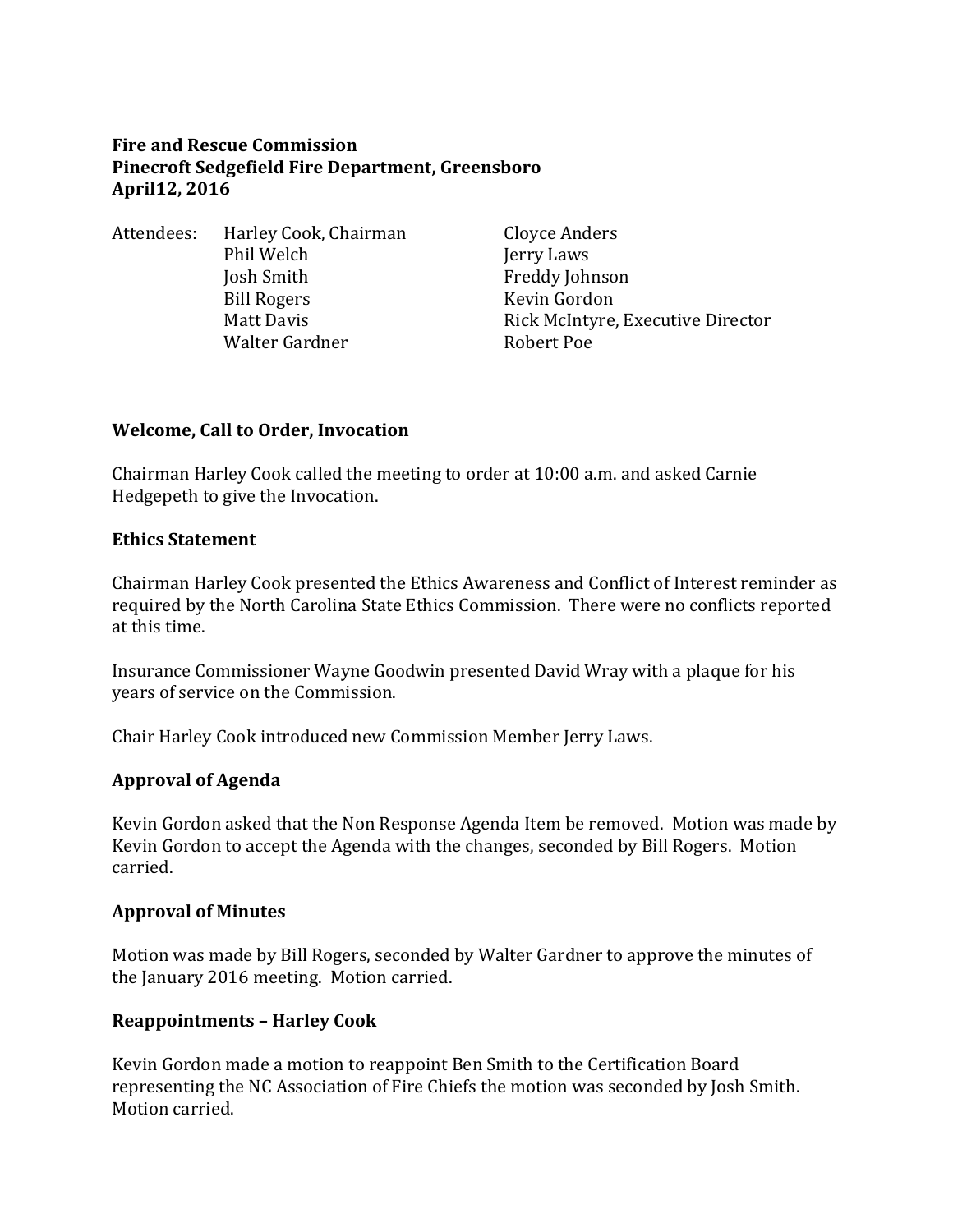#### **Fire and Rescue Commission Pinecroft Sedgefield Fire Department, Greensboro April12, 2016**

Attendees: Harley Cook, Chairman Cloyce Anders Phil Welch Jerry Laws Josh Smith Freddy Johnson Bill Rogers Kevin Gordon Walter Gardner **Robert Poe** 

Matt Davis **Rick McIntyre, Executive Director** 

#### **Welcome, Call to Order, Invocation**

Chairman Harley Cook called the meeting to order at 10:00 a.m. and asked Carnie Hedgepeth to give the Invocation.

#### **Ethics Statement**

Chairman Harley Cook presented the Ethics Awareness and Conflict of Interest reminder as required by the North Carolina State Ethics Commission. There were no conflicts reported at this time.

Insurance Commissioner Wayne Goodwin presented David Wray with a plaque for his years of service on the Commission.

Chair Harley Cook introduced new Commission Member Jerry Laws.

#### **Approval of Agenda**

Kevin Gordon asked that the Non Response Agenda Item be removed. Motion was made by Kevin Gordon to accept the Agenda with the changes, seconded by Bill Rogers. Motion carried.

#### **Approval of Minutes**

Motion was made by Bill Rogers, seconded by Walter Gardner to approve the minutes of the January 2016 meeting. Motion carried.

#### **Reappointments – Harley Cook**

Kevin Gordon made a motion to reappoint Ben Smith to the Certification Board representing the NC Association of Fire Chiefs the motion was seconded by Josh Smith. Motion carried.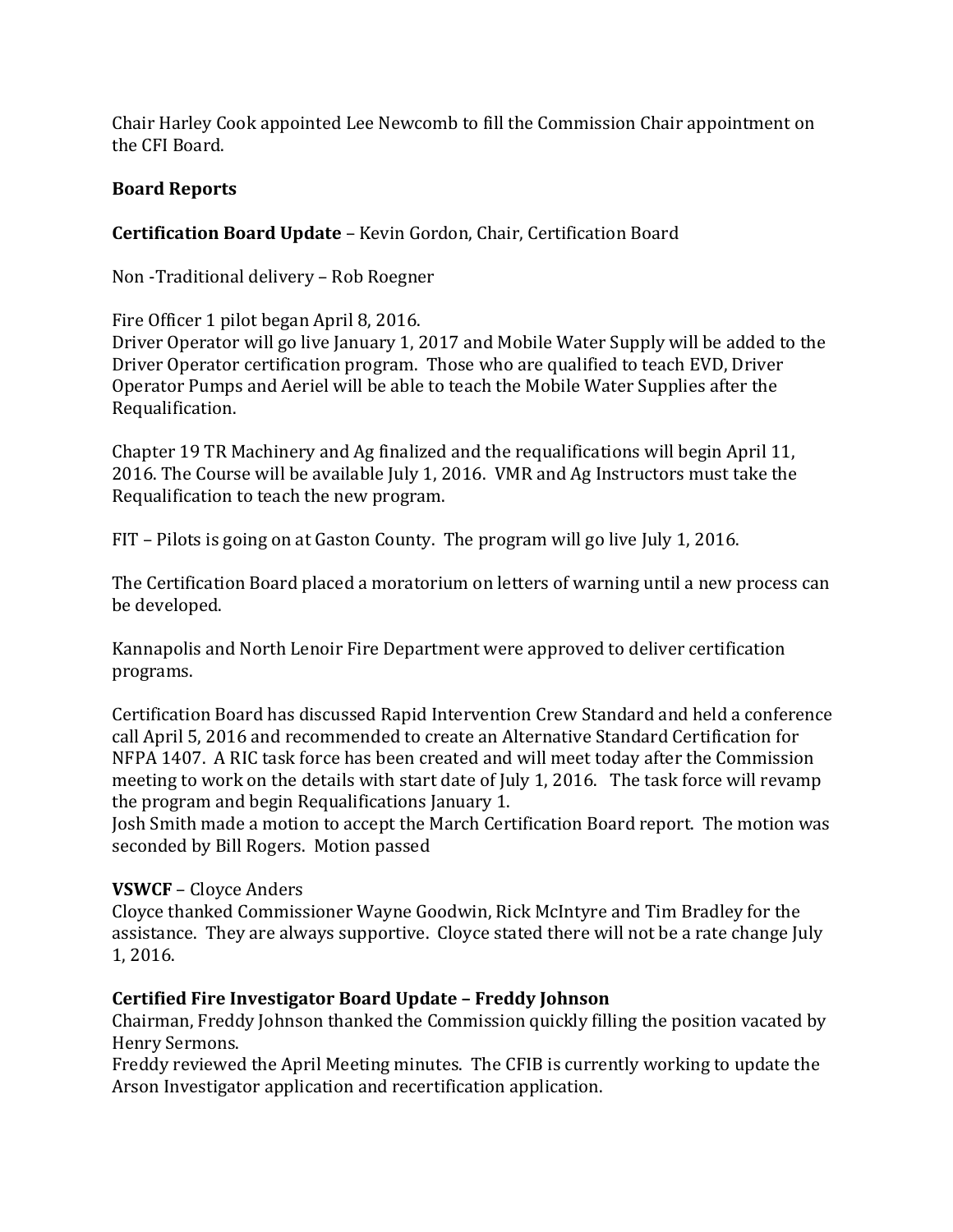Chair Harley Cook appointed Lee Newcomb to fill the Commission Chair appointment on the CFI Board.

### **Board Reports**

### **Certification Board Update** – Kevin Gordon, Chair, Certification Board

Non -Traditional delivery – Rob Roegner

Fire Officer 1 pilot began April 8, 2016.

Driver Operator will go live January 1, 2017 and Mobile Water Supply will be added to the Driver Operator certification program. Those who are qualified to teach EVD, Driver Operator Pumps and Aeriel will be able to teach the Mobile Water Supplies after the Requalification.

Chapter 19 TR Machinery and Ag finalized and the requalifications will begin April 11, 2016. The Course will be available July 1, 2016. VMR and Ag Instructors must take the Requalification to teach the new program.

FIT – Pilots is going on at Gaston County. The program will go live July 1, 2016.

The Certification Board placed a moratorium on letters of warning until a new process can be developed.

Kannapolis and North Lenoir Fire Department were approved to deliver certification programs.

Certification Board has discussed Rapid Intervention Crew Standard and held a conference call April 5, 2016 and recommended to create an Alternative Standard Certification for NFPA 1407. A RIC task force has been created and will meet today after the Commission meeting to work on the details with start date of July 1, 2016. The task force will revamp the program and begin Requalifications January 1.

Josh Smith made a motion to accept the March Certification Board report. The motion was seconded by Bill Rogers. Motion passed

### **VSWCF** – Cloyce Anders

Cloyce thanked Commissioner Wayne Goodwin, Rick McIntyre and Tim Bradley for the assistance. They are always supportive. Cloyce stated there will not be a rate change July 1, 2016.

### **Certified Fire Investigator Board Update – Freddy Johnson**

Chairman, Freddy Johnson thanked the Commission quickly filling the position vacated by Henry Sermons.

Freddy reviewed the April Meeting minutes. The CFIB is currently working to update the Arson Investigator application and recertification application.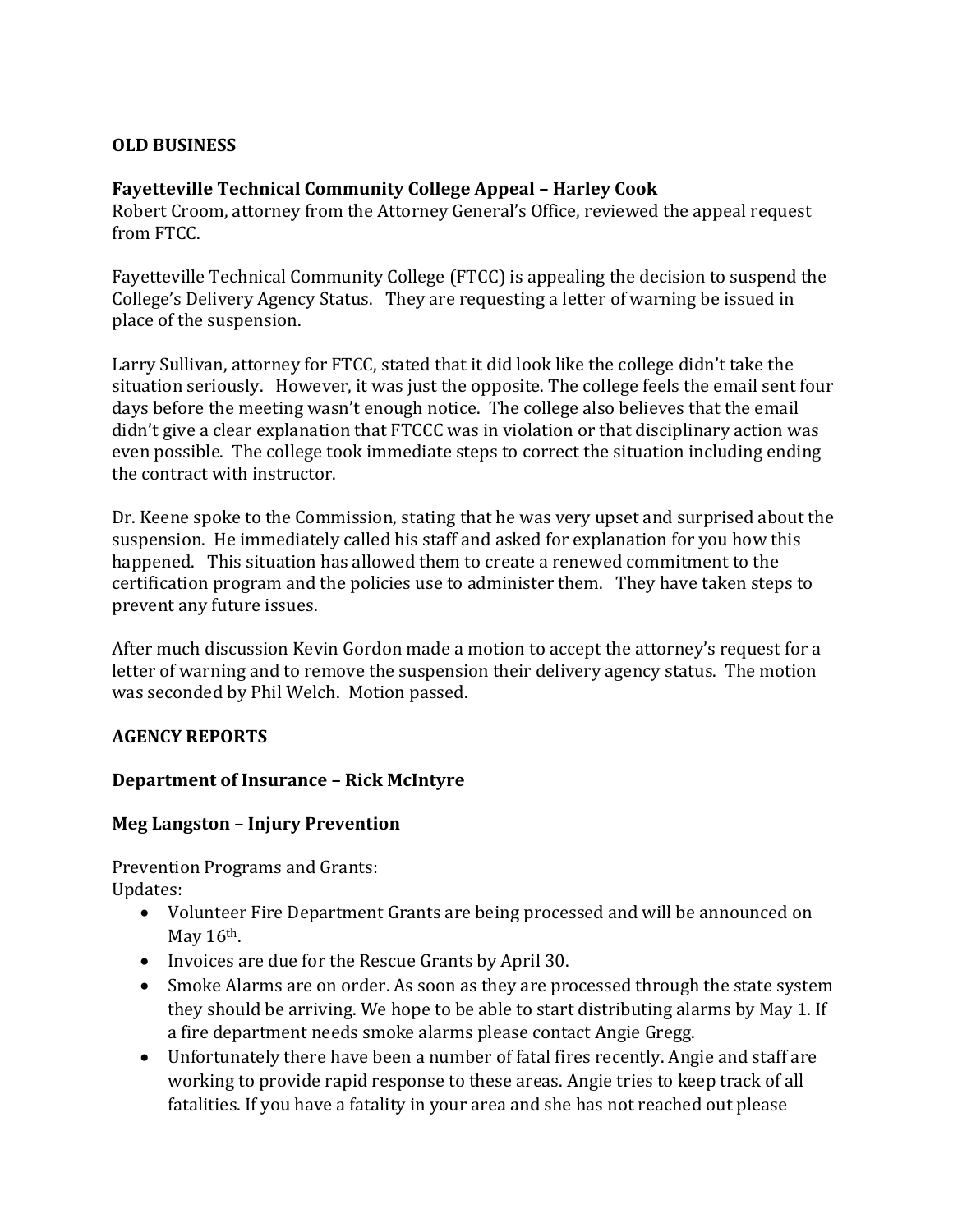### **OLD BUSINESS**

### **Fayetteville Technical Community College Appeal – Harley Cook**

Robert Croom, attorney from the Attorney General's Office, reviewed the appeal request from FTCC.

Fayetteville Technical Community College (FTCC) is appealing the decision to suspend the College's Delivery Agency Status. They are requesting a letter of warning be issued in place of the suspension.

Larry Sullivan, attorney for FTCC, stated that it did look like the college didn't take the situation seriously. However, it was just the opposite. The college feels the email sent four days before the meeting wasn't enough notice. The college also believes that the email didn't give a clear explanation that FTCCC was in violation or that disciplinary action was even possible. The college took immediate steps to correct the situation including ending the contract with instructor.

Dr. Keene spoke to the Commission, stating that he was very upset and surprised about the suspension. He immediately called his staff and asked for explanation for you how this happened. This situation has allowed them to create a renewed commitment to the certification program and the policies use to administer them. They have taken steps to prevent any future issues.

After much discussion Kevin Gordon made a motion to accept the attorney's request for a letter of warning and to remove the suspension their delivery agency status. The motion was seconded by Phil Welch. Motion passed.

#### **AGENCY REPORTS**

#### **Department of Insurance – Rick McIntyre**

#### **Meg Langston – Injury Prevention**

Prevention Programs and Grants: Updates:

- Volunteer Fire Department Grants are being processed and will be announced on May 16<sup>th</sup>.
- Invoices are due for the Rescue Grants by April 30.
- Smoke Alarms are on order. As soon as they are processed through the state system they should be arriving. We hope to be able to start distributing alarms by May 1. If a fire department needs smoke alarms please contact Angie Gregg.
- Unfortunately there have been a number of fatal fires recently. Angie and staff are working to provide rapid response to these areas. Angie tries to keep track of all fatalities. If you have a fatality in your area and she has not reached out please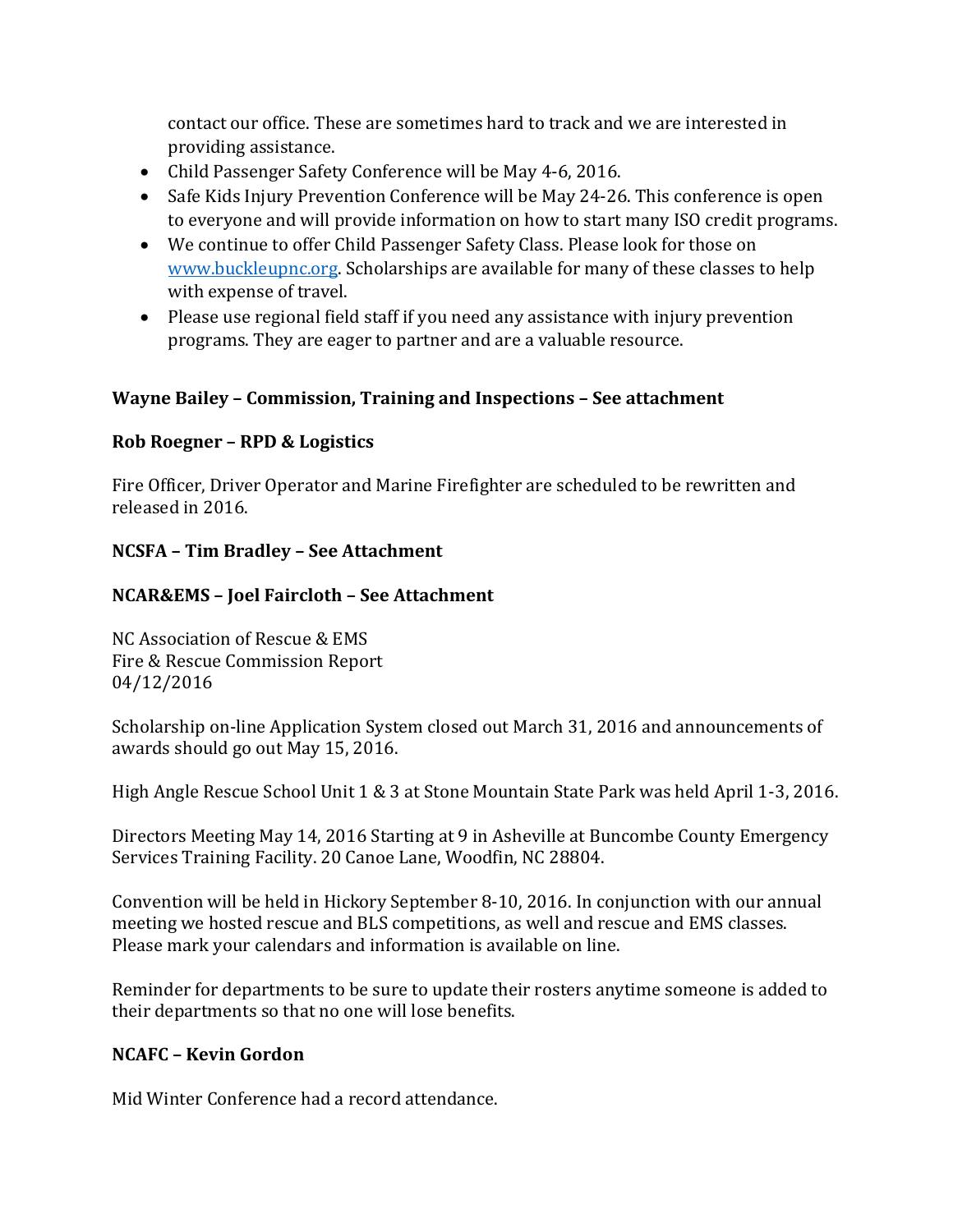contact our office. These are sometimes hard to track and we are interested in providing assistance.

- Child Passenger Safety Conference will be May 4-6, 2016.
- Safe Kids Injury Prevention Conference will be May 24-26. This conference is open to everyone and will provide information on how to start many ISO credit programs.
- We continue to offer Child Passenger Safety Class. Please look for those on [www.buckleupnc.org.](http://www.buckleupnc.org/) Scholarships are available for many of these classes to help with expense of travel.
- Please use regional field staff if you need any assistance with injury prevention programs. They are eager to partner and are a valuable resource.

### **Wayne Bailey – Commission, Training and Inspections – See attachment**

### **Rob Roegner – RPD & Logistics**

Fire Officer, Driver Operator and Marine Firefighter are scheduled to be rewritten and released in 2016.

### **NCSFA – Tim Bradley – See Attachment**

### **NCAR&EMS – Joel Faircloth – See Attachment**

NC Association of Rescue & EMS Fire & Rescue Commission Report 04/12/2016

Scholarship on-line Application System closed out March 31, 2016 and announcements of awards should go out May 15, 2016.

High Angle Rescue School Unit 1 & 3 at Stone Mountain State Park was held April 1-3, 2016.

Directors Meeting May 14, 2016 Starting at 9 in Asheville at Buncombe County Emergency Services Training Facility. 20 Canoe Lane, Woodfin, NC 28804.

Convention will be held in Hickory September 8-10, 2016. In conjunction with our annual meeting we hosted rescue and BLS competitions, as well and rescue and EMS classes. Please mark your calendars and information is available on line.

Reminder for departments to be sure to update their rosters anytime someone is added to their departments so that no one will lose benefits.

#### **NCAFC – Kevin Gordon**

Mid Winter Conference had a record attendance.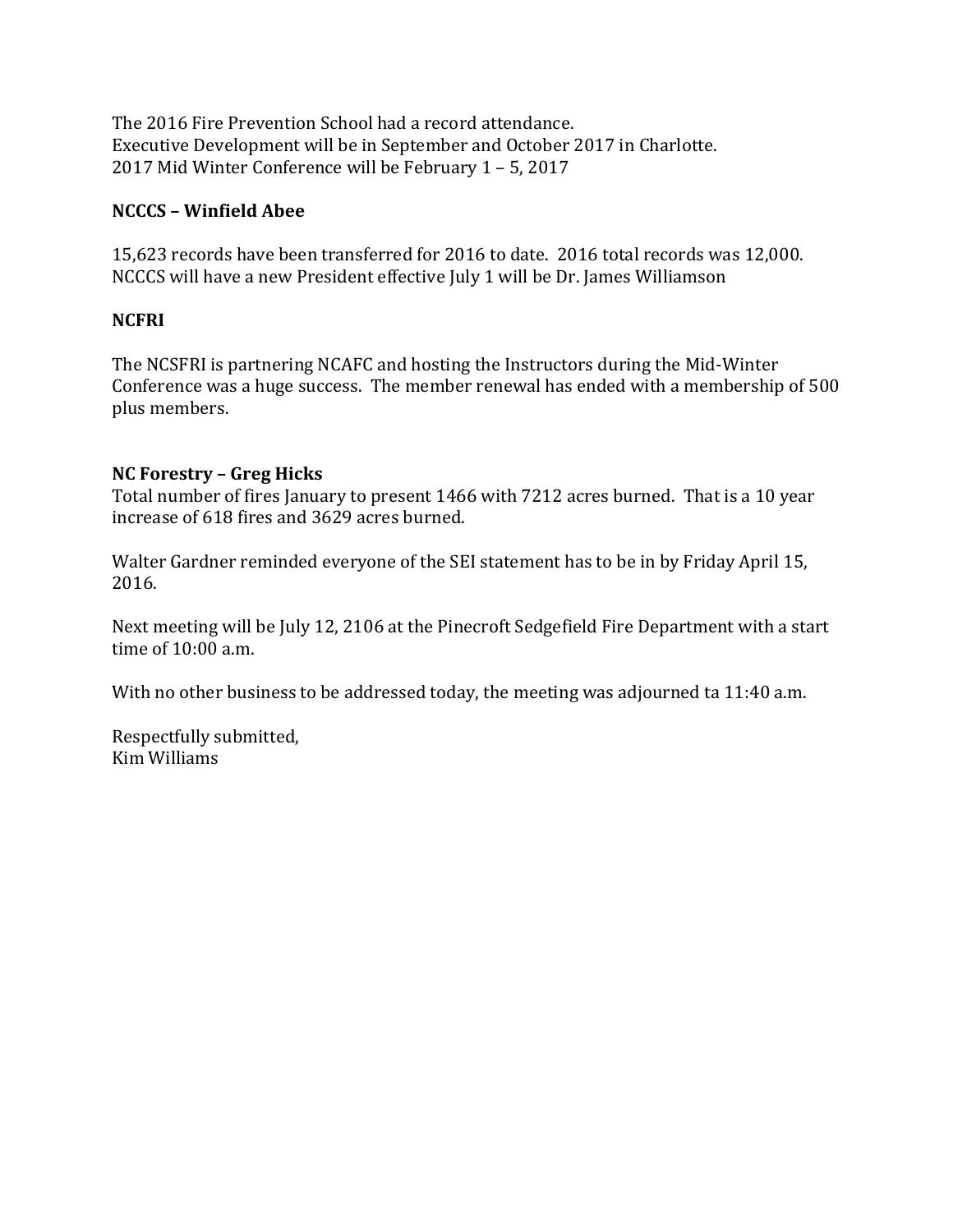The 2016 Fire Prevention School had a record attendance. Executive Development will be in September and October 2017 in Charlotte. 2017 Mid Winter Conference will be February 1 – 5, 2017

### **NCCCS – Winfield Abee**

15,623 records have been transferred for 2016 to date. 2016 total records was 12,000. NCCCS will have a new President effective July 1 will be Dr. James Williamson

## **NCFRI**

The NCSFRI is partnering NCAFC and hosting the Instructors during the Mid-Winter Conference was a huge success. The member renewal has ended with a membership of 500 plus members.

### **NC Forestry – Greg Hicks**

Total number of fires January to present 1466 with 7212 acres burned. That is a 10 year increase of 618 fires and 3629 acres burned.

Walter Gardner reminded everyone of the SEI statement has to be in by Friday April 15, 2016.

Next meeting will be July 12, 2106 at the Pinecroft Sedgefield Fire Department with a start time of 10:00 a.m.

With no other business to be addressed today, the meeting was adjourned ta 11:40 a.m.

Respectfully submitted, Kim Williams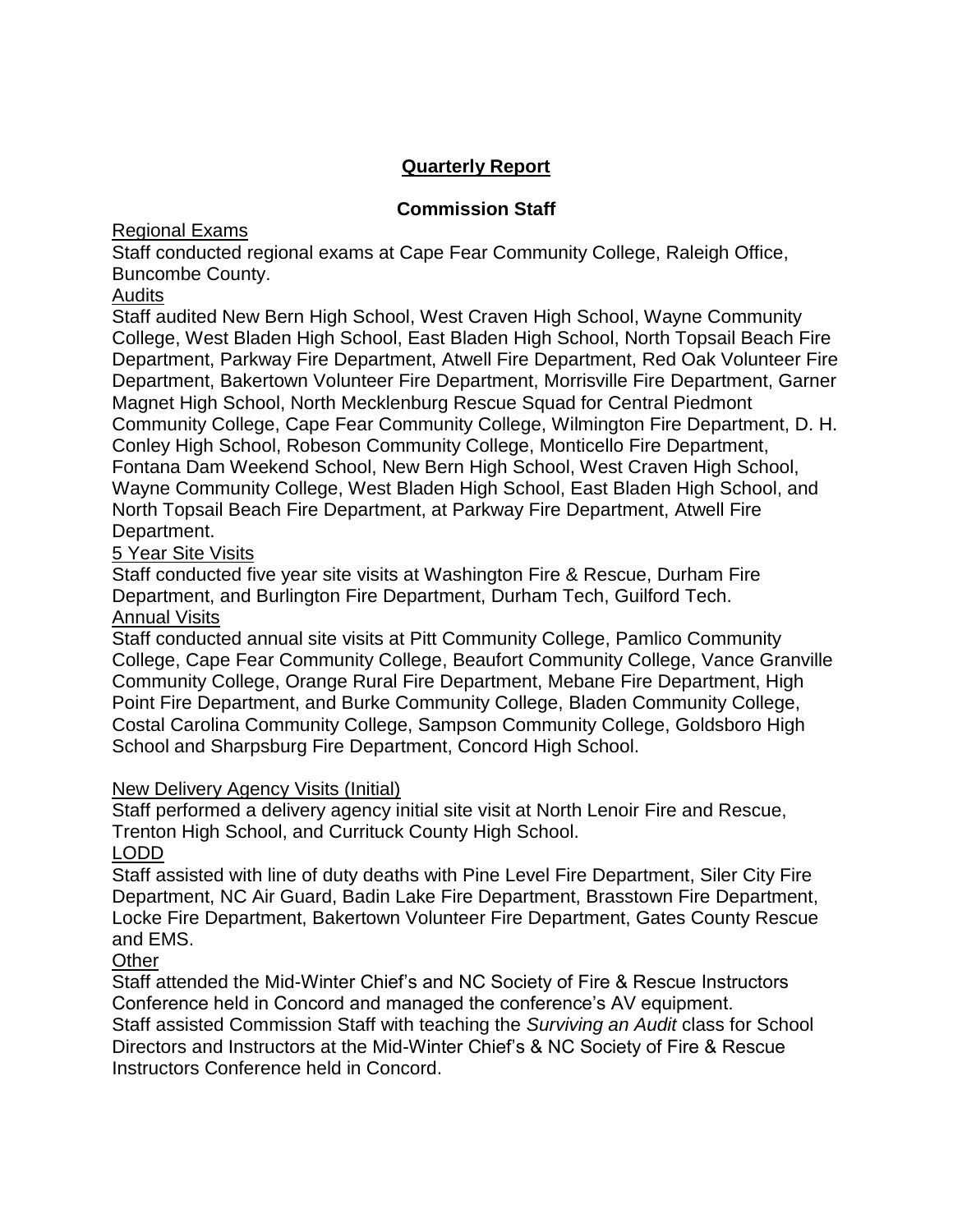# **Quarterly Report**

### **Commission Staff**

### Regional Exams

Staff conducted regional exams at Cape Fear Community College, Raleigh Office, Buncombe County.

### Audits

Staff audited New Bern High School, West Craven High School, Wayne Community College, West Bladen High School, East Bladen High School, North Topsail Beach Fire Department, Parkway Fire Department, Atwell Fire Department, Red Oak Volunteer Fire Department, Bakertown Volunteer Fire Department, Morrisville Fire Department, Garner Magnet High School, North Mecklenburg Rescue Squad for Central Piedmont Community College, Cape Fear Community College, Wilmington Fire Department, D. H. Conley High School, Robeson Community College, Monticello Fire Department, Fontana Dam Weekend School, New Bern High School, West Craven High School, Wayne Community College, West Bladen High School, East Bladen High School, and North Topsail Beach Fire Department, at Parkway Fire Department, Atwell Fire Department.

### 5 Year Site Visits

Staff conducted five year site visits at Washington Fire & Rescue, Durham Fire Department, and Burlington Fire Department, Durham Tech, Guilford Tech. Annual Visits

Staff conducted annual site visits at Pitt Community College, Pamlico Community College, Cape Fear Community College, Beaufort Community College, Vance Granville Community College, Orange Rural Fire Department, Mebane Fire Department, High Point Fire Department, and Burke Community College, Bladen Community College, Costal Carolina Community College, Sampson Community College, Goldsboro High School and Sharpsburg Fire Department, Concord High School.

### New Delivery Agency Visits (Initial)

Staff performed a delivery agency initial site visit at North Lenoir Fire and Rescue, Trenton High School, and Currituck County High School.

### LODD

Staff assisted with line of duty deaths with Pine Level Fire Department, Siler City Fire Department, NC Air Guard, Badin Lake Fire Department, Brasstown Fire Department, Locke Fire Department, Bakertown Volunteer Fire Department, Gates County Rescue and EMS.

## **Other**

Staff attended the Mid-Winter Chief's and NC Society of Fire & Rescue Instructors Conference held in Concord and managed the conference's AV equipment.

Staff assisted Commission Staff with teaching the *Surviving an Audit* class for School Directors and Instructors at the Mid-Winter Chief's & NC Society of Fire & Rescue Instructors Conference held in Concord.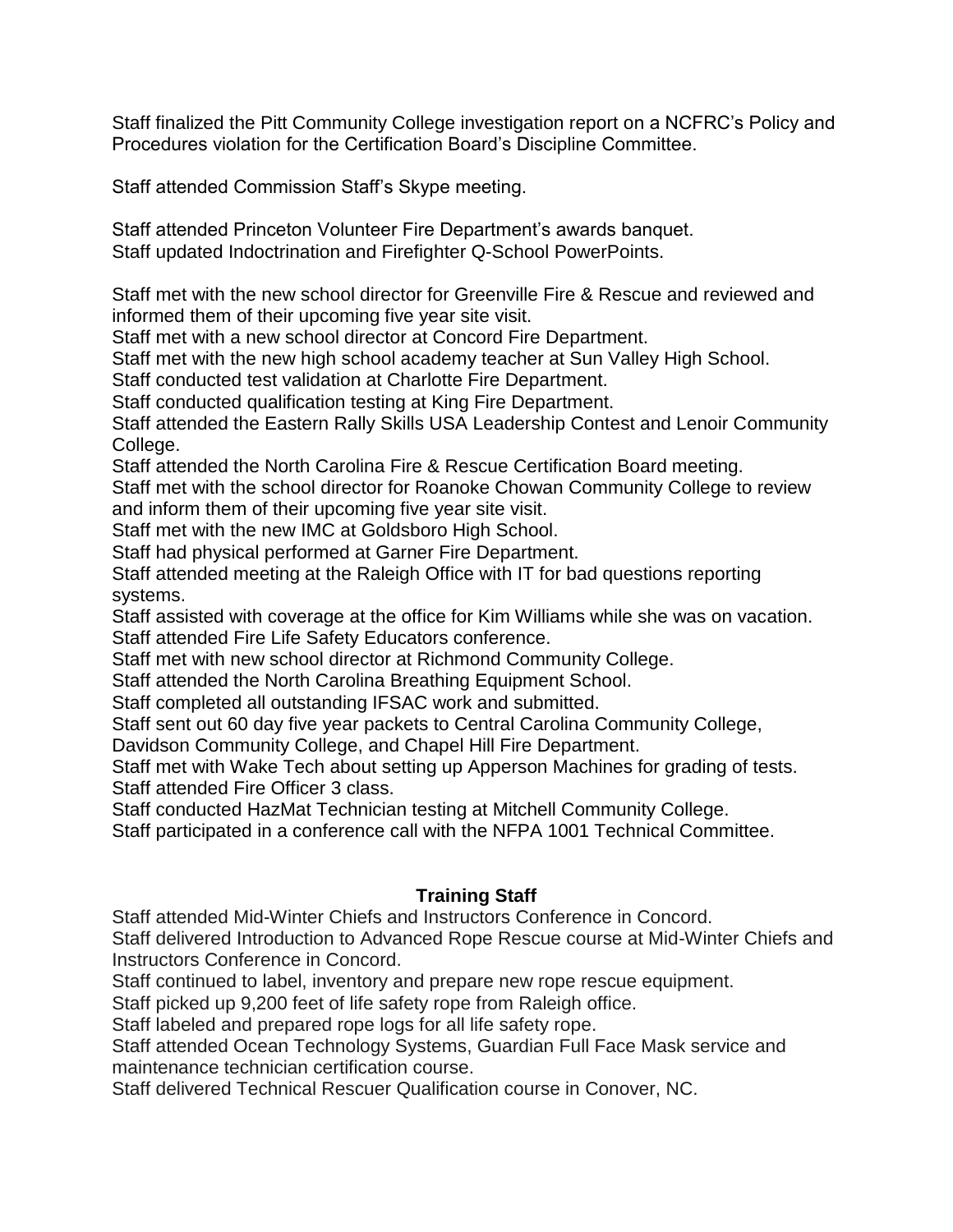Staff finalized the Pitt Community College investigation report on a NCFRC's Policy and Procedures violation for the Certification Board's Discipline Committee.

Staff attended Commission Staff's Skype meeting.

Staff attended Princeton Volunteer Fire Department's awards banquet. Staff updated Indoctrination and Firefighter Q-School PowerPoints.

Staff met with the new school director for Greenville Fire & Rescue and reviewed and informed them of their upcoming five year site visit.

Staff met with a new school director at Concord Fire Department.

Staff met with the new high school academy teacher at Sun Valley High School.

Staff conducted test validation at Charlotte Fire Department.

Staff conducted qualification testing at King Fire Department.

Staff attended the Eastern Rally Skills USA Leadership Contest and Lenoir Community College.

Staff attended the North Carolina Fire & Rescue Certification Board meeting.

Staff met with the school director for Roanoke Chowan Community College to review and inform them of their upcoming five year site visit.

Staff met with the new IMC at Goldsboro High School.

Staff had physical performed at Garner Fire Department.

Staff attended meeting at the Raleigh Office with IT for bad questions reporting systems.

Staff assisted with coverage at the office for Kim Williams while she was on vacation. Staff attended Fire Life Safety Educators conference.

Staff met with new school director at Richmond Community College.

Staff attended the North Carolina Breathing Equipment School.

Staff completed all outstanding IFSAC work and submitted.

Staff sent out 60 day five year packets to Central Carolina Community College,

Davidson Community College, and Chapel Hill Fire Department.

Staff met with Wake Tech about setting up Apperson Machines for grading of tests. Staff attended Fire Officer 3 class.

Staff conducted HazMat Technician testing at Mitchell Community College.

Staff participated in a conference call with the NFPA 1001 Technical Committee.

### **Training Staff**

Staff attended Mid-Winter Chiefs and Instructors Conference in Concord.

Staff delivered Introduction to Advanced Rope Rescue course at Mid-Winter Chiefs and Instructors Conference in Concord.

Staff continued to label, inventory and prepare new rope rescue equipment.

Staff picked up 9,200 feet of life safety rope from Raleigh office.

Staff labeled and prepared rope logs for all life safety rope.

Staff attended Ocean Technology Systems, Guardian Full Face Mask service and maintenance technician certification course.

Staff delivered Technical Rescuer Qualification course in Conover, NC.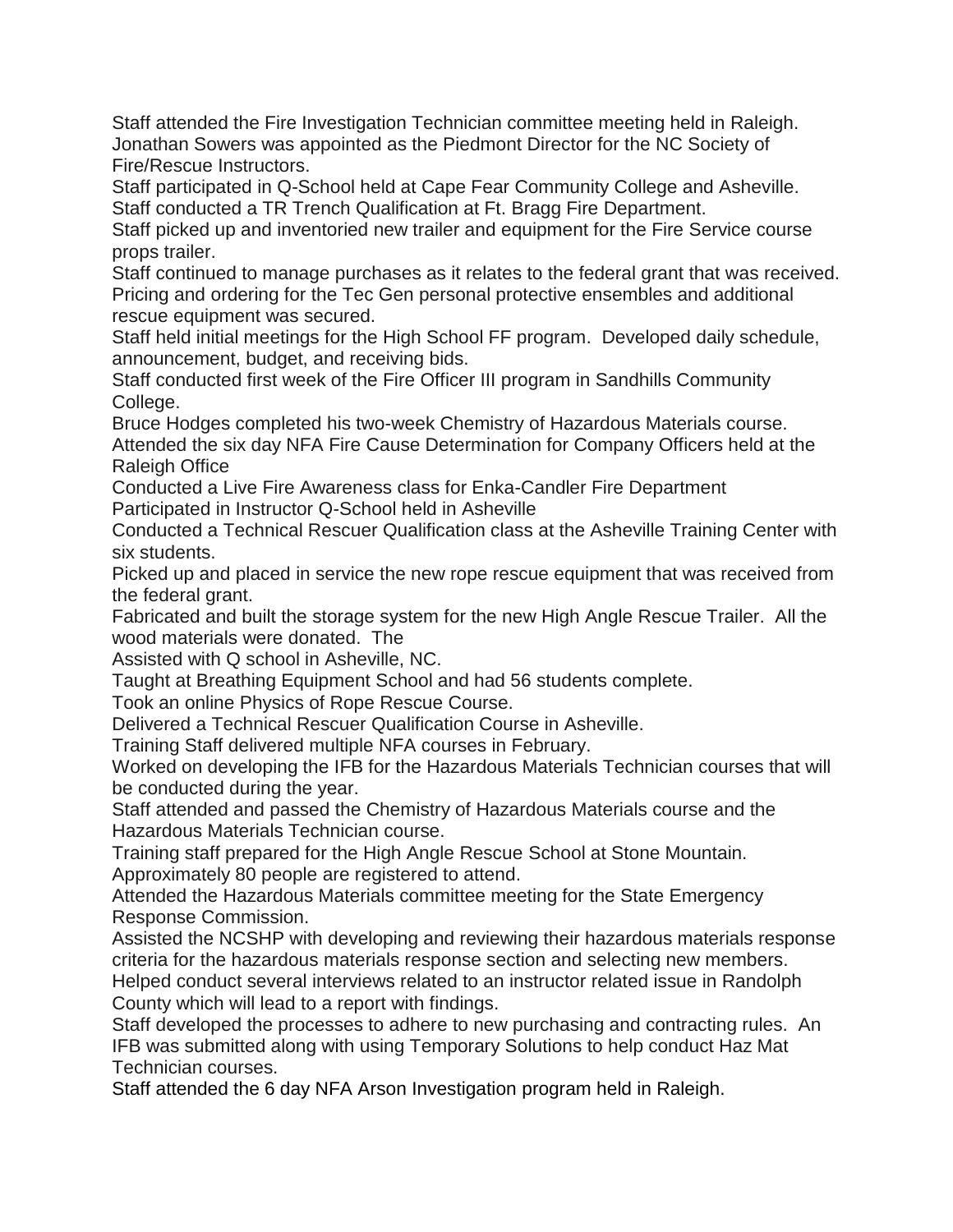Staff attended the Fire Investigation Technician committee meeting held in Raleigh. Jonathan Sowers was appointed as the Piedmont Director for the NC Society of Fire/Rescue Instructors.

Staff participated in Q-School held at Cape Fear Community College and Asheville. Staff conducted a TR Trench Qualification at Ft. Bragg Fire Department.

Staff picked up and inventoried new trailer and equipment for the Fire Service course props trailer.

Staff continued to manage purchases as it relates to the federal grant that was received. Pricing and ordering for the Tec Gen personal protective ensembles and additional rescue equipment was secured.

Staff held initial meetings for the High School FF program. Developed daily schedule, announcement, budget, and receiving bids.

Staff conducted first week of the Fire Officer III program in Sandhills Community College.

Bruce Hodges completed his two-week Chemistry of Hazardous Materials course. Attended the six day NFA Fire Cause Determination for Company Officers held at the Raleigh Office

Conducted a Live Fire Awareness class for Enka-Candler Fire Department Participated in Instructor Q-School held in Asheville

Conducted a Technical Rescuer Qualification class at the Asheville Training Center with six students.

Picked up and placed in service the new rope rescue equipment that was received from the federal grant.

Fabricated and built the storage system for the new High Angle Rescue Trailer. All the wood materials were donated. The

Assisted with Q school in Asheville, NC.

Taught at Breathing Equipment School and had 56 students complete.

Took an online Physics of Rope Rescue Course.

Delivered a Technical Rescuer Qualification Course in Asheville.

Training Staff delivered multiple NFA courses in February.

Worked on developing the IFB for the Hazardous Materials Technician courses that will be conducted during the year.

Staff attended and passed the Chemistry of Hazardous Materials course and the Hazardous Materials Technician course.

Training staff prepared for the High Angle Rescue School at Stone Mountain. Approximately 80 people are registered to attend.

Attended the Hazardous Materials committee meeting for the State Emergency Response Commission.

Assisted the NCSHP with developing and reviewing their hazardous materials response criteria for the hazardous materials response section and selecting new members.

Helped conduct several interviews related to an instructor related issue in Randolph County which will lead to a report with findings.

Staff developed the processes to adhere to new purchasing and contracting rules. An IFB was submitted along with using Temporary Solutions to help conduct Haz Mat Technician courses.

Staff attended the 6 day NFA Arson Investigation program held in Raleigh.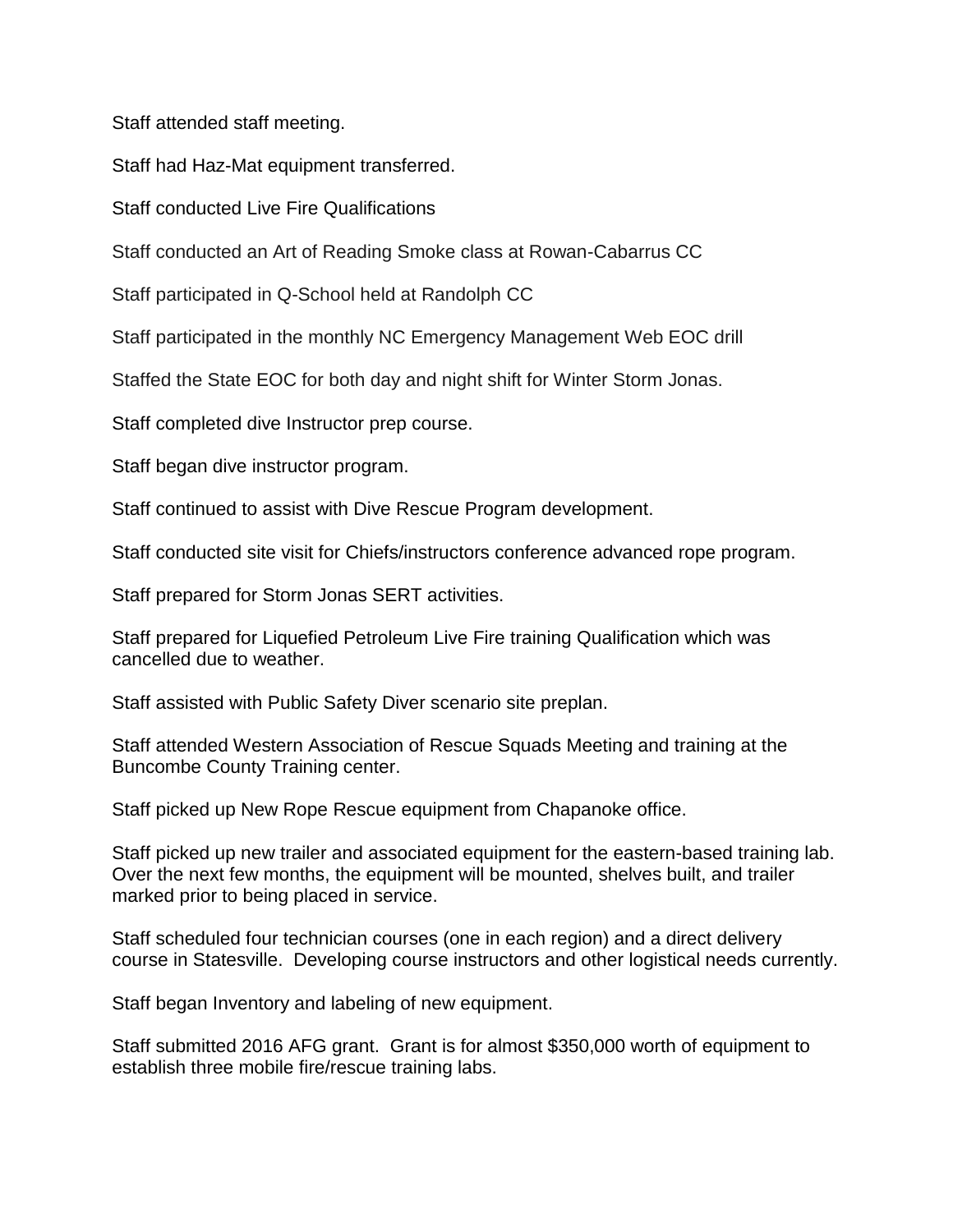Staff attended staff meeting.

Staff had Haz-Mat equipment transferred.

Staff conducted Live Fire Qualifications

Staff conducted an Art of Reading Smoke class at Rowan-Cabarrus CC

Staff participated in Q-School held at Randolph CC

Staff participated in the monthly NC Emergency Management Web EOC drill

Staffed the State EOC for both day and night shift for Winter Storm Jonas.

Staff completed dive Instructor prep course.

Staff began dive instructor program.

Staff continued to assist with Dive Rescue Program development.

Staff conducted site visit for Chiefs/instructors conference advanced rope program.

Staff prepared for Storm Jonas SERT activities.

Staff prepared for Liquefied Petroleum Live Fire training Qualification which was cancelled due to weather.

Staff assisted with Public Safety Diver scenario site preplan.

Staff attended Western Association of Rescue Squads Meeting and training at the Buncombe County Training center.

Staff picked up New Rope Rescue equipment from Chapanoke office.

Staff picked up new trailer and associated equipment for the eastern-based training lab. Over the next few months, the equipment will be mounted, shelves built, and trailer marked prior to being placed in service.

Staff scheduled four technician courses (one in each region) and a direct delivery course in Statesville. Developing course instructors and other logistical needs currently.

Staff began Inventory and labeling of new equipment.

Staff submitted 2016 AFG grant. Grant is for almost \$350,000 worth of equipment to establish three mobile fire/rescue training labs.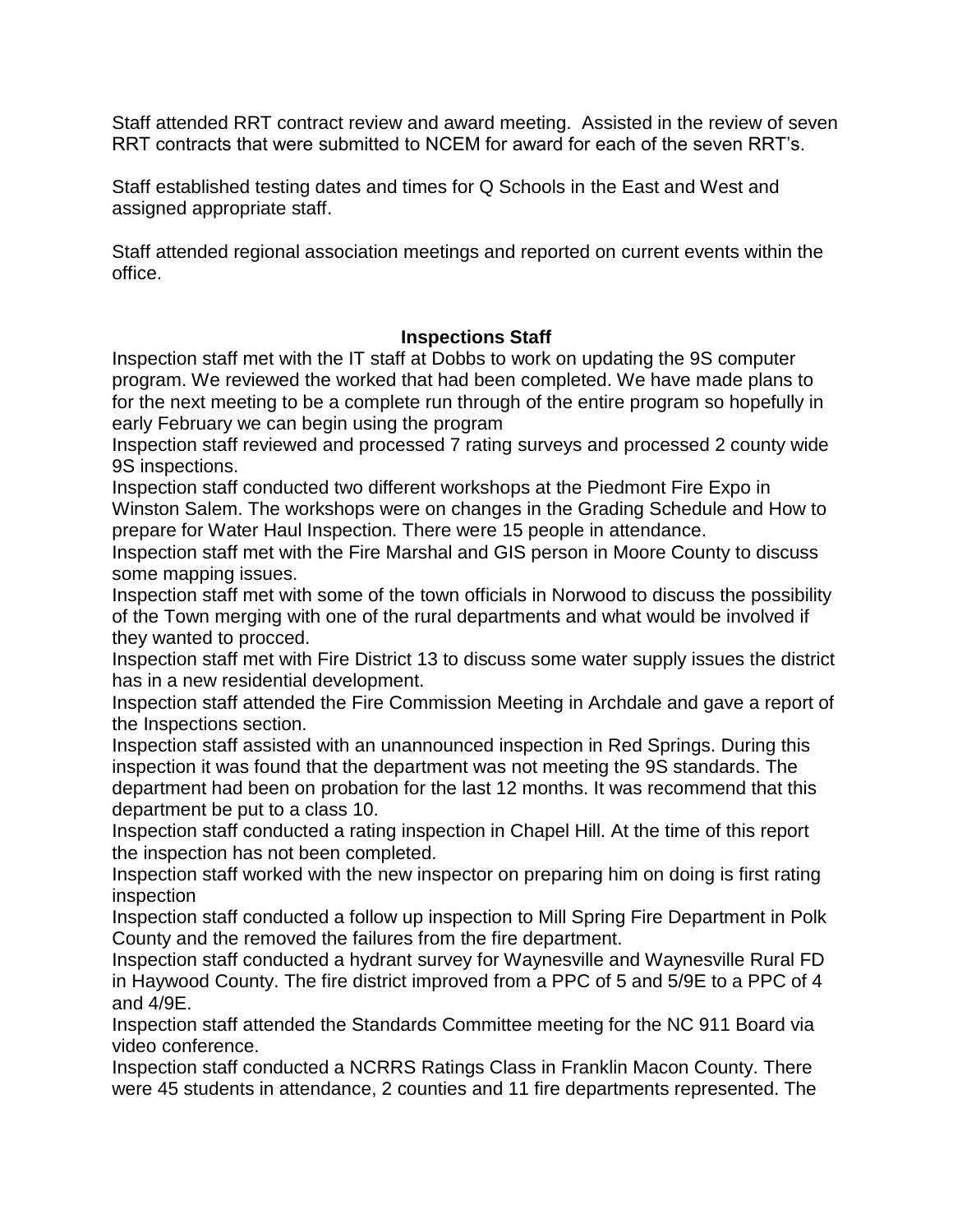Staff attended RRT contract review and award meeting. Assisted in the review of seven RRT contracts that were submitted to NCEM for award for each of the seven RRT's.

Staff established testing dates and times for Q Schools in the East and West and assigned appropriate staff.

Staff attended regional association meetings and reported on current events within the office.

#### **Inspections Staff**

Inspection staff met with the IT staff at Dobbs to work on updating the 9S computer program. We reviewed the worked that had been completed. We have made plans to for the next meeting to be a complete run through of the entire program so hopefully in early February we can begin using the program

Inspection staff reviewed and processed 7 rating surveys and processed 2 county wide 9S inspections.

Inspection staff conducted two different workshops at the Piedmont Fire Expo in Winston Salem. The workshops were on changes in the Grading Schedule and How to prepare for Water Haul Inspection. There were 15 people in attendance.

Inspection staff met with the Fire Marshal and GIS person in Moore County to discuss some mapping issues.

Inspection staff met with some of the town officials in Norwood to discuss the possibility of the Town merging with one of the rural departments and what would be involved if they wanted to procced.

Inspection staff met with Fire District 13 to discuss some water supply issues the district has in a new residential development.

Inspection staff attended the Fire Commission Meeting in Archdale and gave a report of the Inspections section.

Inspection staff assisted with an unannounced inspection in Red Springs. During this inspection it was found that the department was not meeting the 9S standards. The department had been on probation for the last 12 months. It was recommend that this department be put to a class 10.

Inspection staff conducted a rating inspection in Chapel Hill. At the time of this report the inspection has not been completed.

Inspection staff worked with the new inspector on preparing him on doing is first rating inspection

Inspection staff conducted a follow up inspection to Mill Spring Fire Department in Polk County and the removed the failures from the fire department.

Inspection staff conducted a hydrant survey for Waynesville and Waynesville Rural FD in Haywood County. The fire district improved from a PPC of 5 and 5/9E to a PPC of 4 and 4/9E.

Inspection staff attended the Standards Committee meeting for the NC 911 Board via video conference.

Inspection staff conducted a NCRRS Ratings Class in Franklin Macon County. There were 45 students in attendance, 2 counties and 11 fire departments represented. The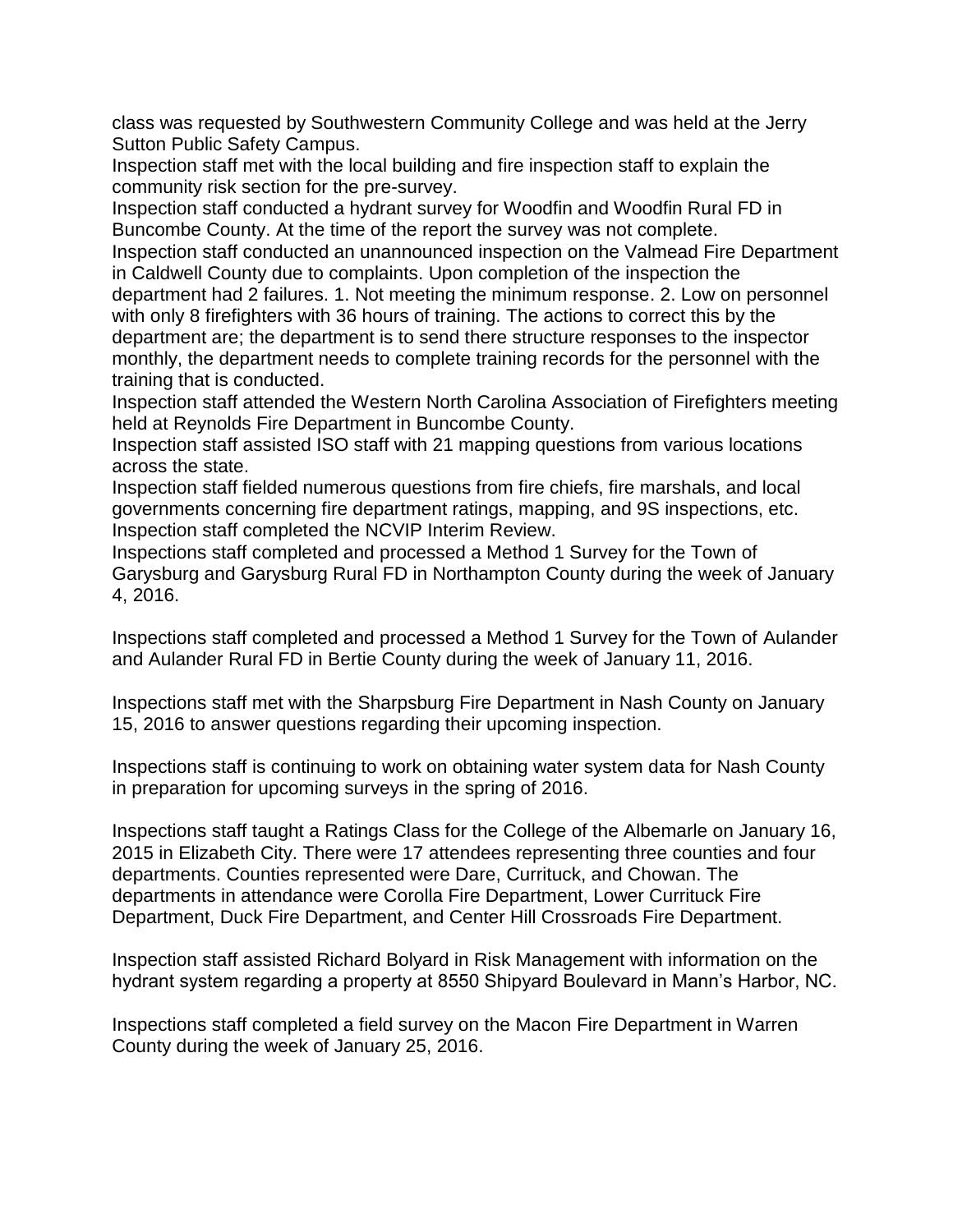class was requested by Southwestern Community College and was held at the Jerry Sutton Public Safety Campus.

Inspection staff met with the local building and fire inspection staff to explain the community risk section for the pre-survey.

Inspection staff conducted a hydrant survey for Woodfin and Woodfin Rural FD in Buncombe County. At the time of the report the survey was not complete.

Inspection staff conducted an unannounced inspection on the Valmead Fire Department in Caldwell County due to complaints. Upon completion of the inspection the department had 2 failures. 1. Not meeting the minimum response. 2. Low on personnel with only 8 firefighters with 36 hours of training. The actions to correct this by the department are; the department is to send there structure responses to the inspector monthly, the department needs to complete training records for the personnel with the training that is conducted.

Inspection staff attended the Western North Carolina Association of Firefighters meeting held at Reynolds Fire Department in Buncombe County.

Inspection staff assisted ISO staff with 21 mapping questions from various locations across the state.

Inspection staff fielded numerous questions from fire chiefs, fire marshals, and local governments concerning fire department ratings, mapping, and 9S inspections, etc. Inspection staff completed the NCVIP Interim Review.

Inspections staff completed and processed a Method 1 Survey for the Town of Garysburg and Garysburg Rural FD in Northampton County during the week of January 4, 2016.

Inspections staff completed and processed a Method 1 Survey for the Town of Aulander and Aulander Rural FD in Bertie County during the week of January 11, 2016.

Inspections staff met with the Sharpsburg Fire Department in Nash County on January 15, 2016 to answer questions regarding their upcoming inspection.

Inspections staff is continuing to work on obtaining water system data for Nash County in preparation for upcoming surveys in the spring of 2016.

Inspections staff taught a Ratings Class for the College of the Albemarle on January 16, 2015 in Elizabeth City. There were 17 attendees representing three counties and four departments. Counties represented were Dare, Currituck, and Chowan. The departments in attendance were Corolla Fire Department, Lower Currituck Fire Department, Duck Fire Department, and Center Hill Crossroads Fire Department.

Inspection staff assisted Richard Bolyard in Risk Management with information on the hydrant system regarding a property at 8550 Shipyard Boulevard in Mann's Harbor, NC.

Inspections staff completed a field survey on the Macon Fire Department in Warren County during the week of January 25, 2016.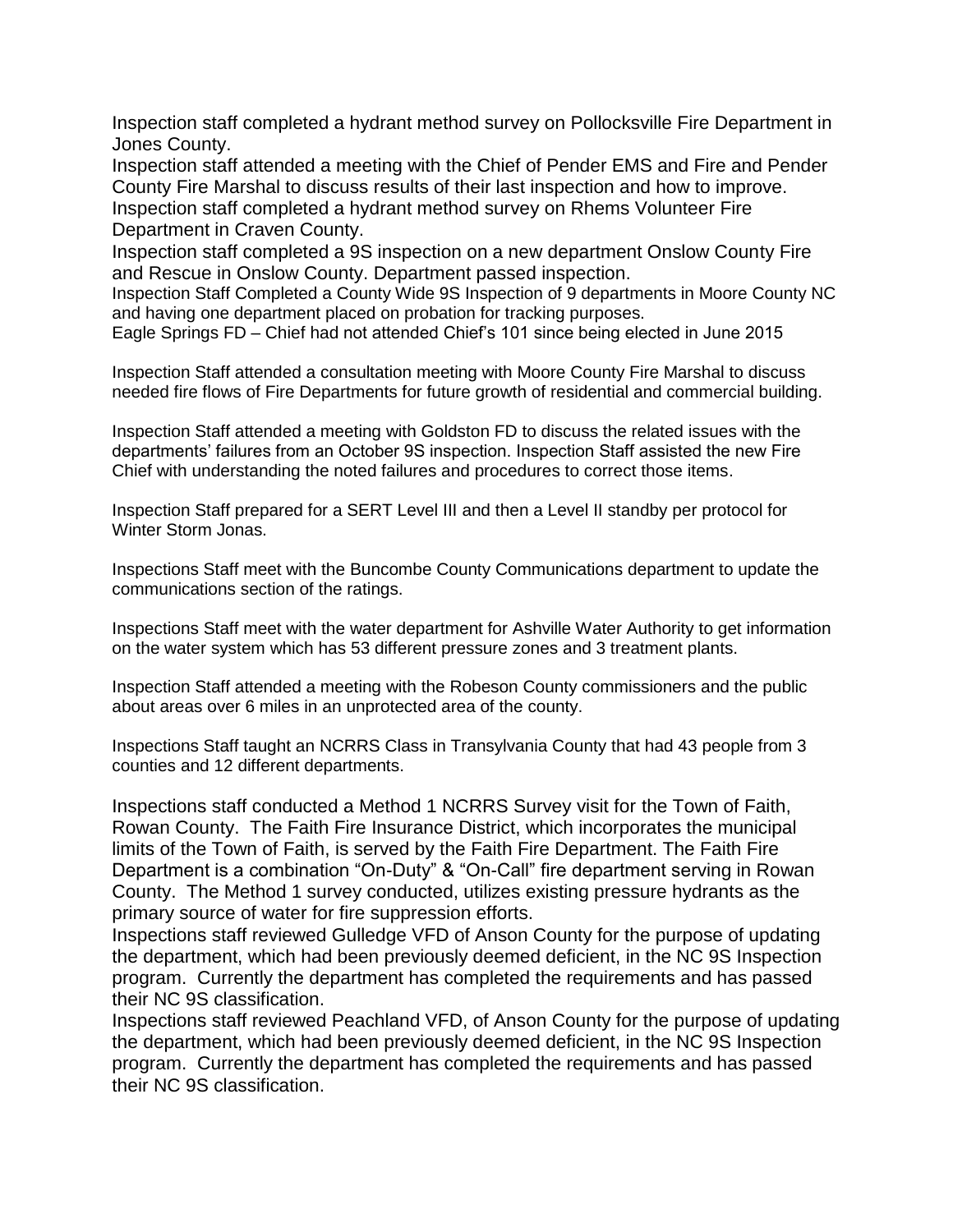Inspection staff completed a hydrant method survey on Pollocksville Fire Department in Jones County.

Inspection staff attended a meeting with the Chief of Pender EMS and Fire and Pender County Fire Marshal to discuss results of their last inspection and how to improve. Inspection staff completed a hydrant method survey on Rhems Volunteer Fire Department in Craven County.

Inspection staff completed a 9S inspection on a new department Onslow County Fire and Rescue in Onslow County. Department passed inspection.

Inspection Staff Completed a County Wide 9S Inspection of 9 departments in Moore County NC and having one department placed on probation for tracking purposes.

Eagle Springs FD – Chief had not attended Chief's 101 since being elected in June 2015

Inspection Staff attended a consultation meeting with Moore County Fire Marshal to discuss needed fire flows of Fire Departments for future growth of residential and commercial building.

Inspection Staff attended a meeting with Goldston FD to discuss the related issues with the departments' failures from an October 9S inspection. Inspection Staff assisted the new Fire Chief with understanding the noted failures and procedures to correct those items.

Inspection Staff prepared for a SERT Level III and then a Level II standby per protocol for Winter Storm Jonas.

Inspections Staff meet with the Buncombe County Communications department to update the communications section of the ratings.

Inspections Staff meet with the water department for Ashville Water Authority to get information on the water system which has 53 different pressure zones and 3 treatment plants.

Inspection Staff attended a meeting with the Robeson County commissioners and the public about areas over 6 miles in an unprotected area of the county.

Inspections Staff taught an NCRRS Class in Transylvania County that had 43 people from 3 counties and 12 different departments.

Inspections staff conducted a Method 1 NCRRS Survey visit for the Town of Faith, Rowan County. The Faith Fire Insurance District, which incorporates the municipal limits of the Town of Faith, is served by the Faith Fire Department. The Faith Fire Department is a combination "On-Duty" & "On-Call" fire department serving in Rowan County. The Method 1 survey conducted, utilizes existing pressure hydrants as the primary source of water for fire suppression efforts.

Inspections staff reviewed Gulledge VFD of Anson County for the purpose of updating the department, which had been previously deemed deficient, in the NC 9S Inspection program. Currently the department has completed the requirements and has passed their NC 9S classification.

Inspections staff reviewed Peachland VFD, of Anson County for the purpose of updating the department, which had been previously deemed deficient, in the NC 9S Inspection program. Currently the department has completed the requirements and has passed their NC 9S classification.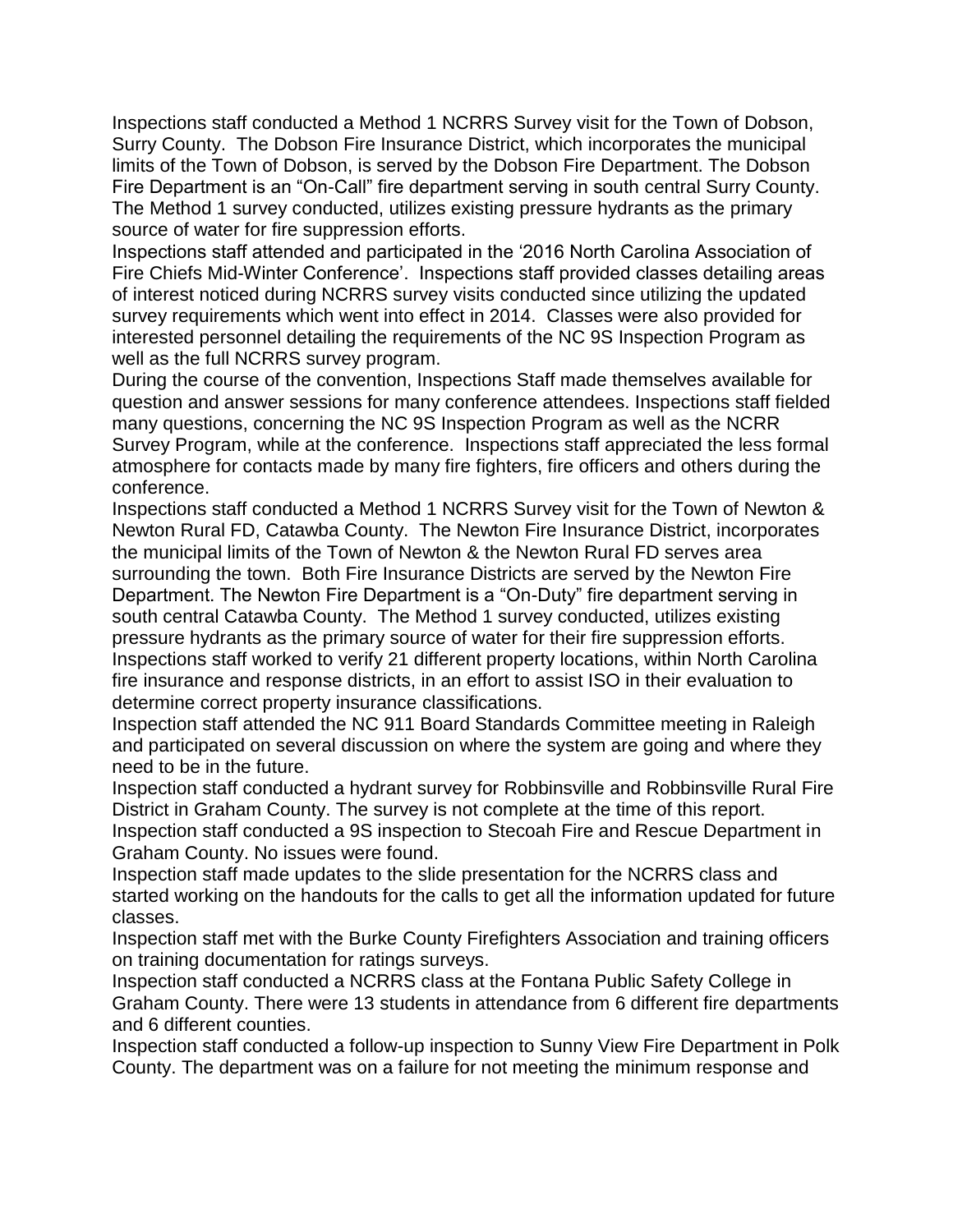Inspections staff conducted a Method 1 NCRRS Survey visit for the Town of Dobson, Surry County. The Dobson Fire Insurance District, which incorporates the municipal limits of the Town of Dobson, is served by the Dobson Fire Department. The Dobson Fire Department is an "On-Call" fire department serving in south central Surry County. The Method 1 survey conducted, utilizes existing pressure hydrants as the primary source of water for fire suppression efforts.

Inspections staff attended and participated in the '2016 North Carolina Association of Fire Chiefs Mid-Winter Conference'. Inspections staff provided classes detailing areas of interest noticed during NCRRS survey visits conducted since utilizing the updated survey requirements which went into effect in 2014. Classes were also provided for interested personnel detailing the requirements of the NC 9S Inspection Program as well as the full NCRRS survey program.

During the course of the convention, Inspections Staff made themselves available for question and answer sessions for many conference attendees. Inspections staff fielded many questions, concerning the NC 9S Inspection Program as well as the NCRR Survey Program, while at the conference. Inspections staff appreciated the less formal atmosphere for contacts made by many fire fighters, fire officers and others during the conference.

Inspections staff conducted a Method 1 NCRRS Survey visit for the Town of Newton & Newton Rural FD, Catawba County. The Newton Fire Insurance District, incorporates the municipal limits of the Town of Newton & the Newton Rural FD serves area surrounding the town. Both Fire Insurance Districts are served by the Newton Fire Department. The Newton Fire Department is a "On-Duty" fire department serving in south central Catawba County. The Method 1 survey conducted, utilizes existing pressure hydrants as the primary source of water for their fire suppression efforts. Inspections staff worked to verify 21 different property locations, within North Carolina fire insurance and response districts, in an effort to assist ISO in their evaluation to determine correct property insurance classifications.

Inspection staff attended the NC 911 Board Standards Committee meeting in Raleigh and participated on several discussion on where the system are going and where they need to be in the future.

Inspection staff conducted a hydrant survey for Robbinsville and Robbinsville Rural Fire District in Graham County. The survey is not complete at the time of this report. Inspection staff conducted a 9S inspection to Stecoah Fire and Rescue Department in Graham County. No issues were found.

Inspection staff made updates to the slide presentation for the NCRRS class and started working on the handouts for the calls to get all the information updated for future classes.

Inspection staff met with the Burke County Firefighters Association and training officers on training documentation for ratings surveys.

Inspection staff conducted a NCRRS class at the Fontana Public Safety College in Graham County. There were 13 students in attendance from 6 different fire departments and 6 different counties.

Inspection staff conducted a follow-up inspection to Sunny View Fire Department in Polk County. The department was on a failure for not meeting the minimum response and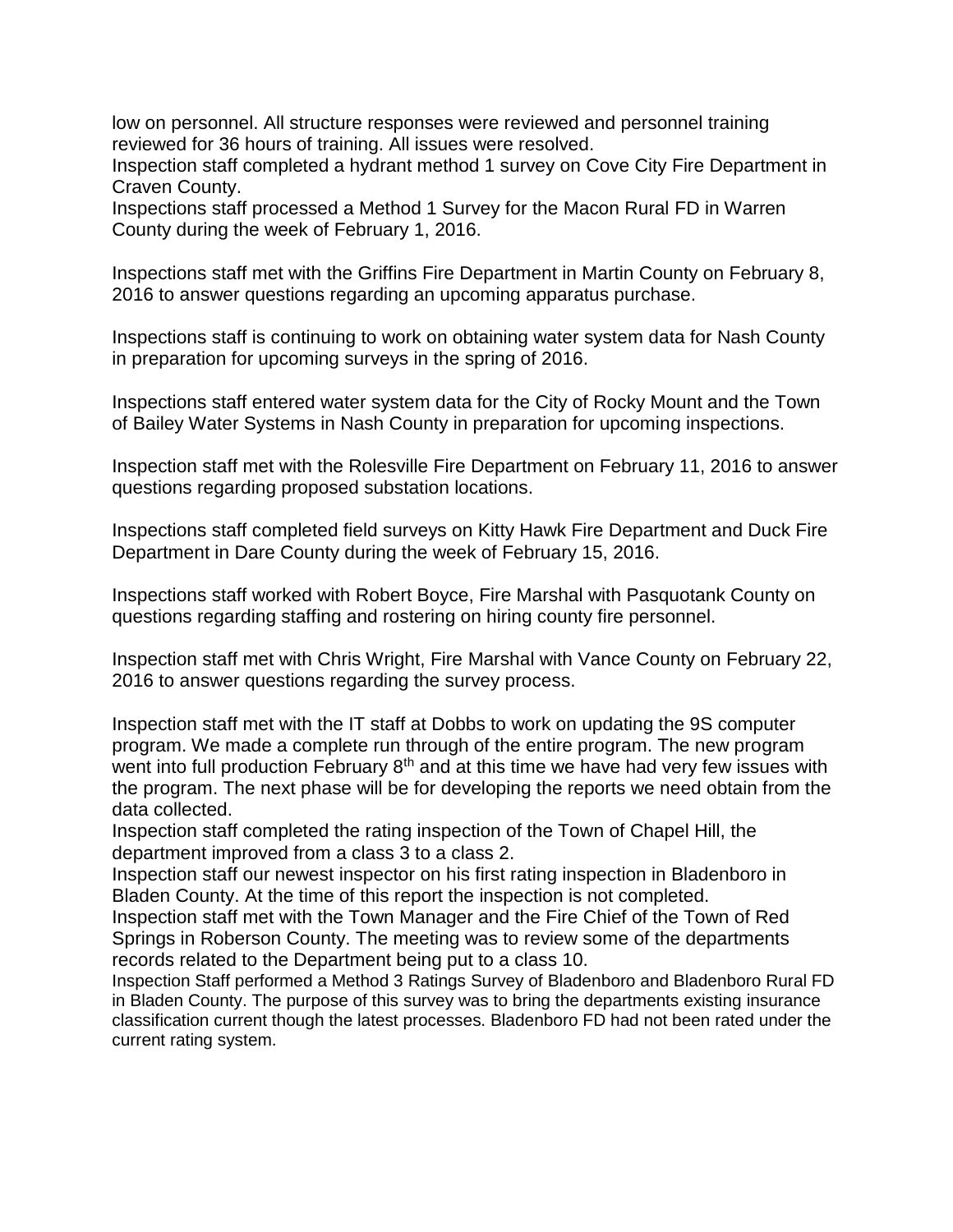low on personnel. All structure responses were reviewed and personnel training reviewed for 36 hours of training. All issues were resolved.

Inspection staff completed a hydrant method 1 survey on Cove City Fire Department in Craven County.

Inspections staff processed a Method 1 Survey for the Macon Rural FD in Warren County during the week of February 1, 2016.

Inspections staff met with the Griffins Fire Department in Martin County on February 8, 2016 to answer questions regarding an upcoming apparatus purchase.

Inspections staff is continuing to work on obtaining water system data for Nash County in preparation for upcoming surveys in the spring of 2016.

Inspections staff entered water system data for the City of Rocky Mount and the Town of Bailey Water Systems in Nash County in preparation for upcoming inspections.

Inspection staff met with the Rolesville Fire Department on February 11, 2016 to answer questions regarding proposed substation locations.

Inspections staff completed field surveys on Kitty Hawk Fire Department and Duck Fire Department in Dare County during the week of February 15, 2016.

Inspections staff worked with Robert Boyce, Fire Marshal with Pasquotank County on questions regarding staffing and rostering on hiring county fire personnel.

Inspection staff met with Chris Wright, Fire Marshal with Vance County on February 22, 2016 to answer questions regarding the survey process.

Inspection staff met with the IT staff at Dobbs to work on updating the 9S computer program. We made a complete run through of the entire program. The new program went into full production February 8<sup>th</sup> and at this time we have had very few issues with the program. The next phase will be for developing the reports we need obtain from the data collected.

Inspection staff completed the rating inspection of the Town of Chapel Hill, the department improved from a class 3 to a class 2.

Inspection staff our newest inspector on his first rating inspection in Bladenboro in Bladen County. At the time of this report the inspection is not completed.

Inspection staff met with the Town Manager and the Fire Chief of the Town of Red Springs in Roberson County. The meeting was to review some of the departments records related to the Department being put to a class 10.

Inspection Staff performed a Method 3 Ratings Survey of Bladenboro and Bladenboro Rural FD in Bladen County. The purpose of this survey was to bring the departments existing insurance classification current though the latest processes. Bladenboro FD had not been rated under the current rating system.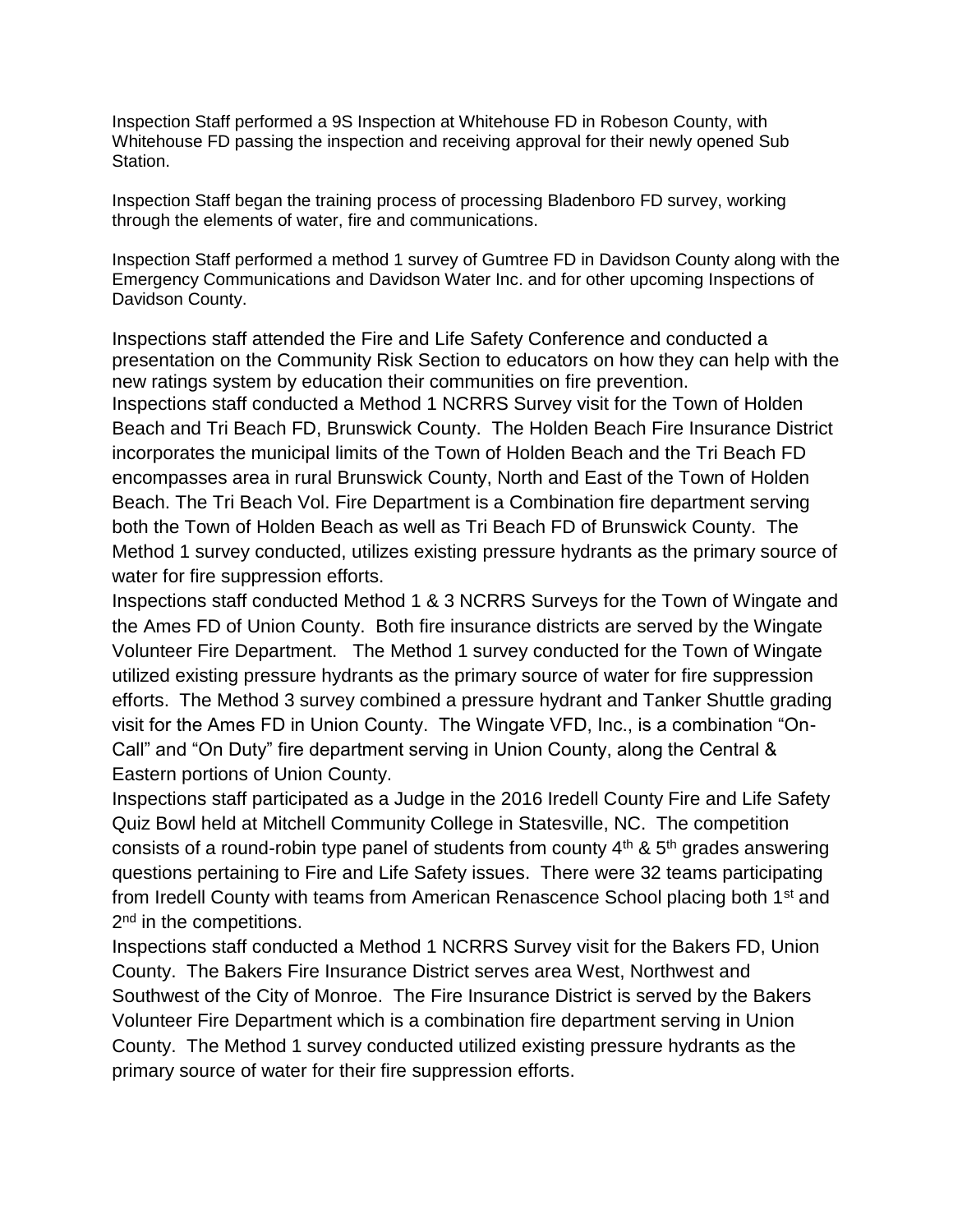Inspection Staff performed a 9S Inspection at Whitehouse FD in Robeson County, with Whitehouse FD passing the inspection and receiving approval for their newly opened Sub Station.

Inspection Staff began the training process of processing Bladenboro FD survey, working through the elements of water, fire and communications.

Inspection Staff performed a method 1 survey of Gumtree FD in Davidson County along with the Emergency Communications and Davidson Water Inc. and for other upcoming Inspections of Davidson County.

Inspections staff attended the Fire and Life Safety Conference and conducted a presentation on the Community Risk Section to educators on how they can help with the new ratings system by education their communities on fire prevention. Inspections staff conducted a Method 1 NCRRS Survey visit for the Town of Holden Beach and Tri Beach FD, Brunswick County. The Holden Beach Fire Insurance District incorporates the municipal limits of the Town of Holden Beach and the Tri Beach FD encompasses area in rural Brunswick County, North and East of the Town of Holden Beach. The Tri Beach Vol. Fire Department is a Combination fire department serving both the Town of Holden Beach as well as Tri Beach FD of Brunswick County. The Method 1 survey conducted, utilizes existing pressure hydrants as the primary source of water for fire suppression efforts.

Inspections staff conducted Method 1 & 3 NCRRS Surveys for the Town of Wingate and the Ames FD of Union County. Both fire insurance districts are served by the Wingate Volunteer Fire Department. The Method 1 survey conducted for the Town of Wingate utilized existing pressure hydrants as the primary source of water for fire suppression efforts. The Method 3 survey combined a pressure hydrant and Tanker Shuttle grading visit for the Ames FD in Union County. The Wingate VFD, Inc., is a combination "On-Call" and "On Duty" fire department serving in Union County, along the Central & Eastern portions of Union County.

Inspections staff participated as a Judge in the 2016 Iredell County Fire and Life Safety Quiz Bowl held at Mitchell Community College in Statesville, NC. The competition consists of a round-robin type panel of students from county  $4<sup>th</sup>$  &  $5<sup>th</sup>$  grades answering questions pertaining to Fire and Life Safety issues. There were 32 teams participating from Iredell County with teams from American Renascence School placing both 1<sup>st</sup> and 2<sup>nd</sup> in the competitions.

Inspections staff conducted a Method 1 NCRRS Survey visit for the Bakers FD, Union County. The Bakers Fire Insurance District serves area West, Northwest and Southwest of the City of Monroe. The Fire Insurance District is served by the Bakers Volunteer Fire Department which is a combination fire department serving in Union County. The Method 1 survey conducted utilized existing pressure hydrants as the primary source of water for their fire suppression efforts.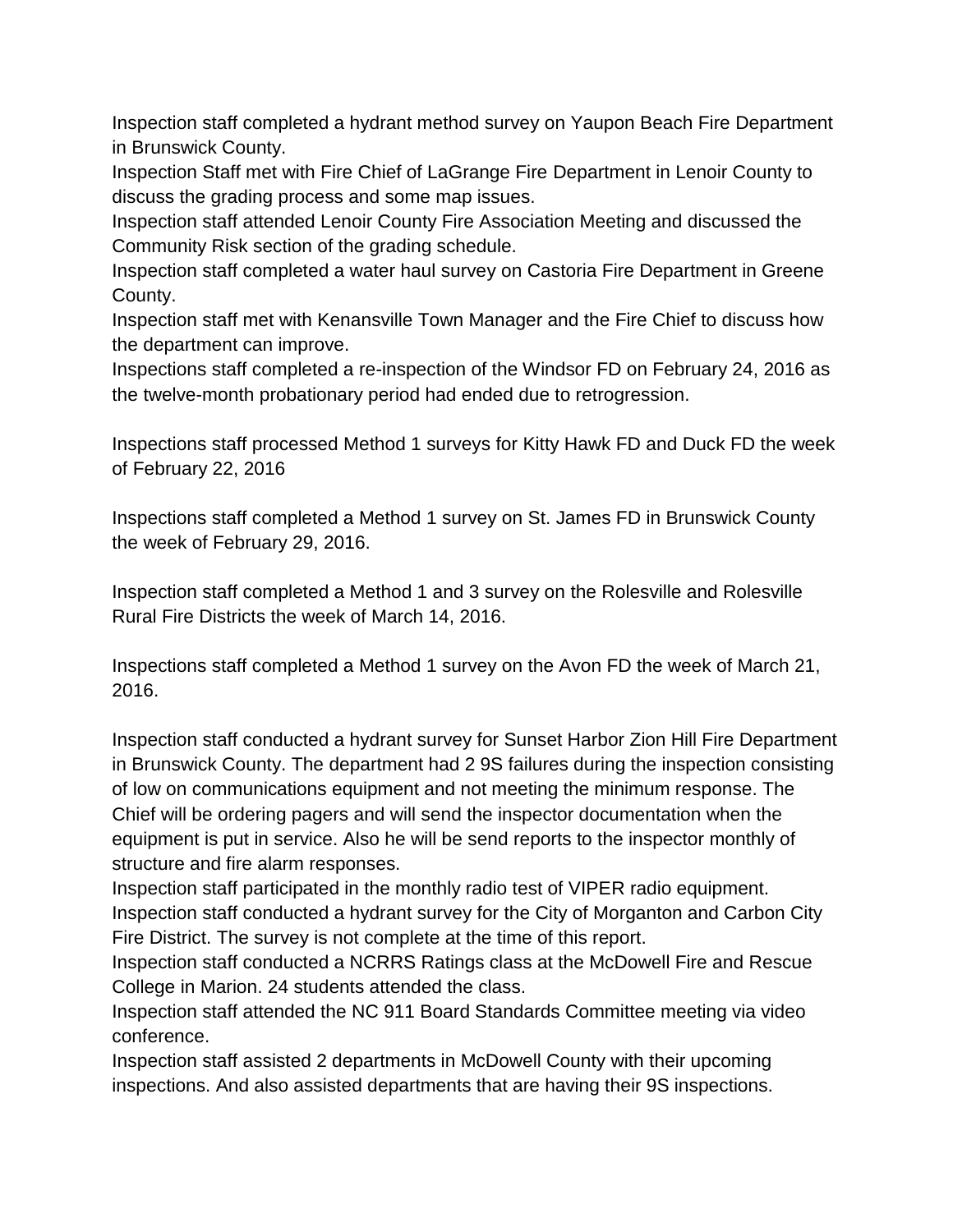Inspection staff completed a hydrant method survey on Yaupon Beach Fire Department in Brunswick County.

Inspection Staff met with Fire Chief of LaGrange Fire Department in Lenoir County to discuss the grading process and some map issues.

Inspection staff attended Lenoir County Fire Association Meeting and discussed the Community Risk section of the grading schedule.

Inspection staff completed a water haul survey on Castoria Fire Department in Greene County.

Inspection staff met with Kenansville Town Manager and the Fire Chief to discuss how the department can improve.

Inspections staff completed a re-inspection of the Windsor FD on February 24, 2016 as the twelve-month probationary period had ended due to retrogression.

Inspections staff processed Method 1 surveys for Kitty Hawk FD and Duck FD the week of February 22, 2016

Inspections staff completed a Method 1 survey on St. James FD in Brunswick County the week of February 29, 2016.

Inspection staff completed a Method 1 and 3 survey on the Rolesville and Rolesville Rural Fire Districts the week of March 14, 2016.

Inspections staff completed a Method 1 survey on the Avon FD the week of March 21, 2016.

Inspection staff conducted a hydrant survey for Sunset Harbor Zion Hill Fire Department in Brunswick County. The department had 2 9S failures during the inspection consisting of low on communications equipment and not meeting the minimum response. The Chief will be ordering pagers and will send the inspector documentation when the equipment is put in service. Also he will be send reports to the inspector monthly of structure and fire alarm responses.

Inspection staff participated in the monthly radio test of VIPER radio equipment. Inspection staff conducted a hydrant survey for the City of Morganton and Carbon City Fire District. The survey is not complete at the time of this report.

Inspection staff conducted a NCRRS Ratings class at the McDowell Fire and Rescue College in Marion. 24 students attended the class.

Inspection staff attended the NC 911 Board Standards Committee meeting via video conference.

Inspection staff assisted 2 departments in McDowell County with their upcoming inspections. And also assisted departments that are having their 9S inspections.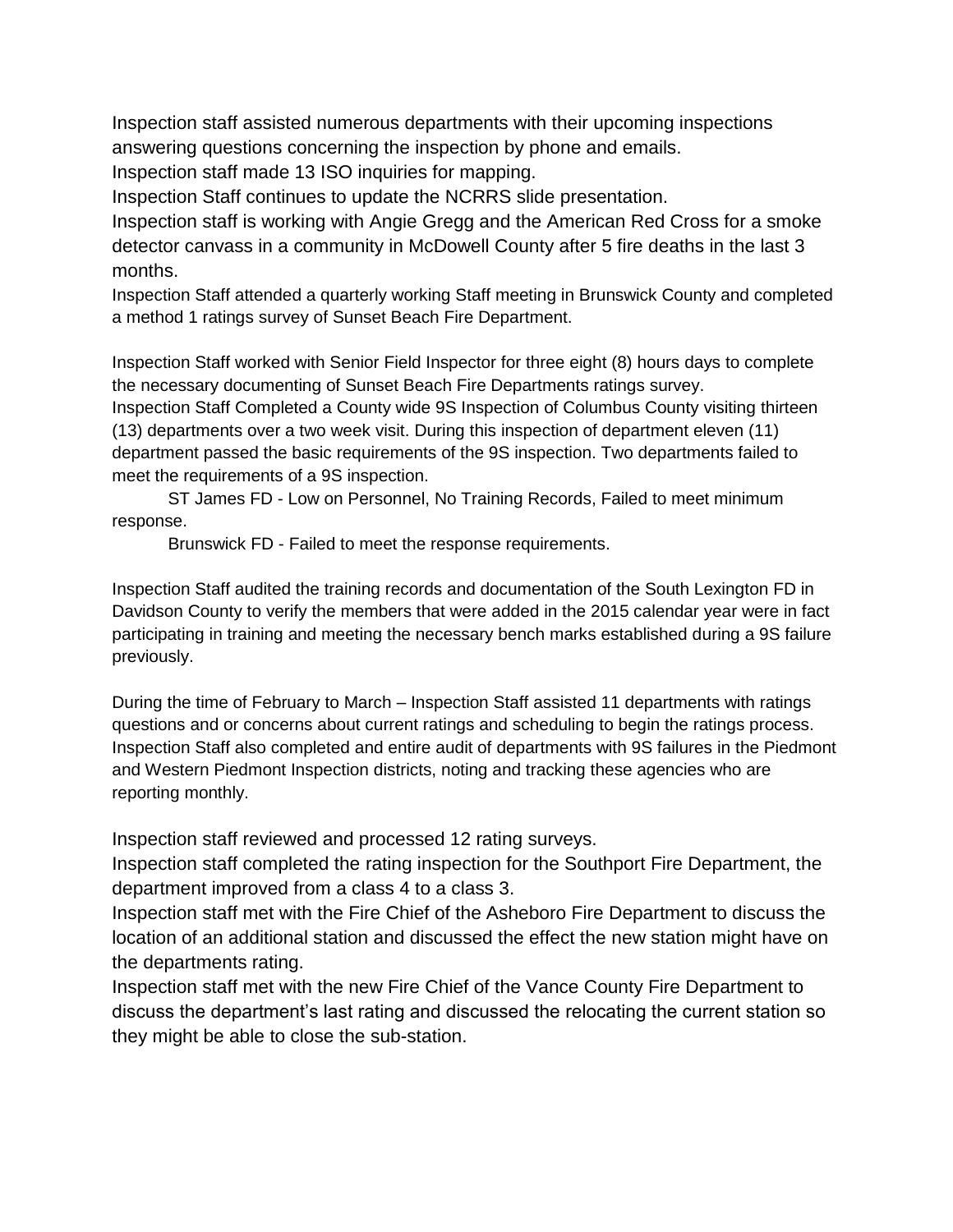Inspection staff assisted numerous departments with their upcoming inspections answering questions concerning the inspection by phone and emails. Inspection staff made 13 ISO inquiries for mapping.

Inspection Staff continues to update the NCRRS slide presentation.

Inspection staff is working with Angie Gregg and the American Red Cross for a smoke detector canvass in a community in McDowell County after 5 fire deaths in the last 3 months.

Inspection Staff attended a quarterly working Staff meeting in Brunswick County and completed a method 1 ratings survey of Sunset Beach Fire Department.

Inspection Staff worked with Senior Field Inspector for three eight (8) hours days to complete the necessary documenting of Sunset Beach Fire Departments ratings survey. Inspection Staff Completed a County wide 9S Inspection of Columbus County visiting thirteen (13) departments over a two week visit. During this inspection of department eleven (11) department passed the basic requirements of the 9S inspection. Two departments failed to meet the requirements of a 9S inspection.

ST James FD - Low on Personnel, No Training Records, Failed to meet minimum response.

Brunswick FD - Failed to meet the response requirements.

Inspection Staff audited the training records and documentation of the South Lexington FD in Davidson County to verify the members that were added in the 2015 calendar year were in fact participating in training and meeting the necessary bench marks established during a 9S failure previously.

During the time of February to March – Inspection Staff assisted 11 departments with ratings questions and or concerns about current ratings and scheduling to begin the ratings process. Inspection Staff also completed and entire audit of departments with 9S failures in the Piedmont and Western Piedmont Inspection districts, noting and tracking these agencies who are reporting monthly.

Inspection staff reviewed and processed 12 rating surveys.

Inspection staff completed the rating inspection for the Southport Fire Department, the department improved from a class 4 to a class 3.

Inspection staff met with the Fire Chief of the Asheboro Fire Department to discuss the location of an additional station and discussed the effect the new station might have on the departments rating.

Inspection staff met with the new Fire Chief of the Vance County Fire Department to discuss the department's last rating and discussed the relocating the current station so they might be able to close the sub-station.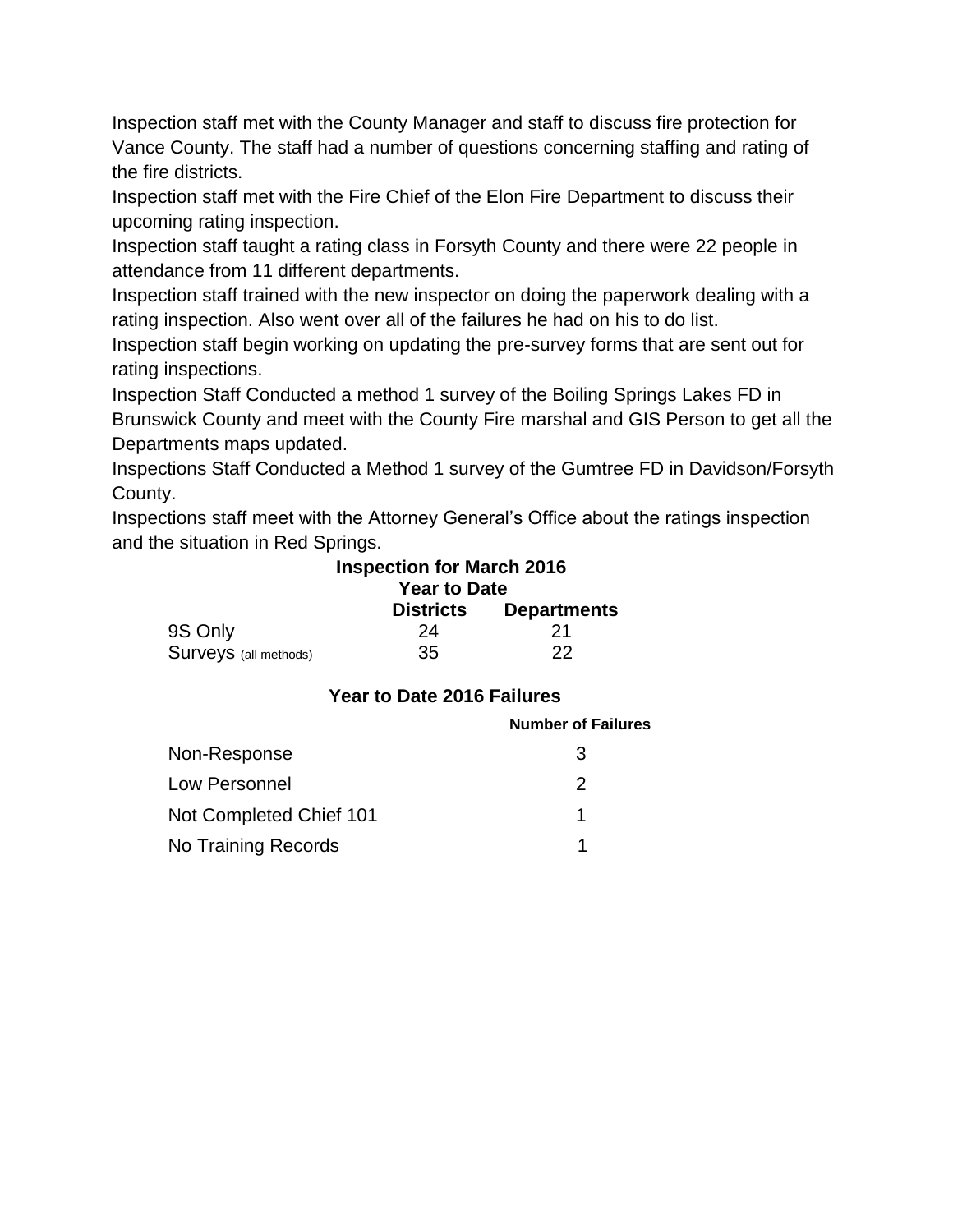Inspection staff met with the County Manager and staff to discuss fire protection for Vance County. The staff had a number of questions concerning staffing and rating of the fire districts.

Inspection staff met with the Fire Chief of the Elon Fire Department to discuss their upcoming rating inspection.

Inspection staff taught a rating class in Forsyth County and there were 22 people in attendance from 11 different departments.

Inspection staff trained with the new inspector on doing the paperwork dealing with a rating inspection. Also went over all of the failures he had on his to do list.

Inspection staff begin working on updating the pre-survey forms that are sent out for rating inspections.

Inspection Staff Conducted a method 1 survey of the Boiling Springs Lakes FD in Brunswick County and meet with the County Fire marshal and GIS Person to get all the Departments maps updated.

Inspections Staff Conducted a Method 1 survey of the Gumtree FD in Davidson/Forsyth County.

Inspections staff meet with the Attorney General's Office about the ratings inspection and the situation in Red Springs.

# **Inspection for March 2016 Year to Date Districts Departments**

| 9S Only                      | 24 | -21 |
|------------------------------|----|-----|
| <b>Surveys</b> (all methods) | 35 | -22 |

# **Year to Date 2016 Failures**

|                         | <b>Number of Failures</b> |
|-------------------------|---------------------------|
| Non-Response            | 3                         |
| Low Personnel           | 2                         |
| Not Completed Chief 101 |                           |
| No Training Records     |                           |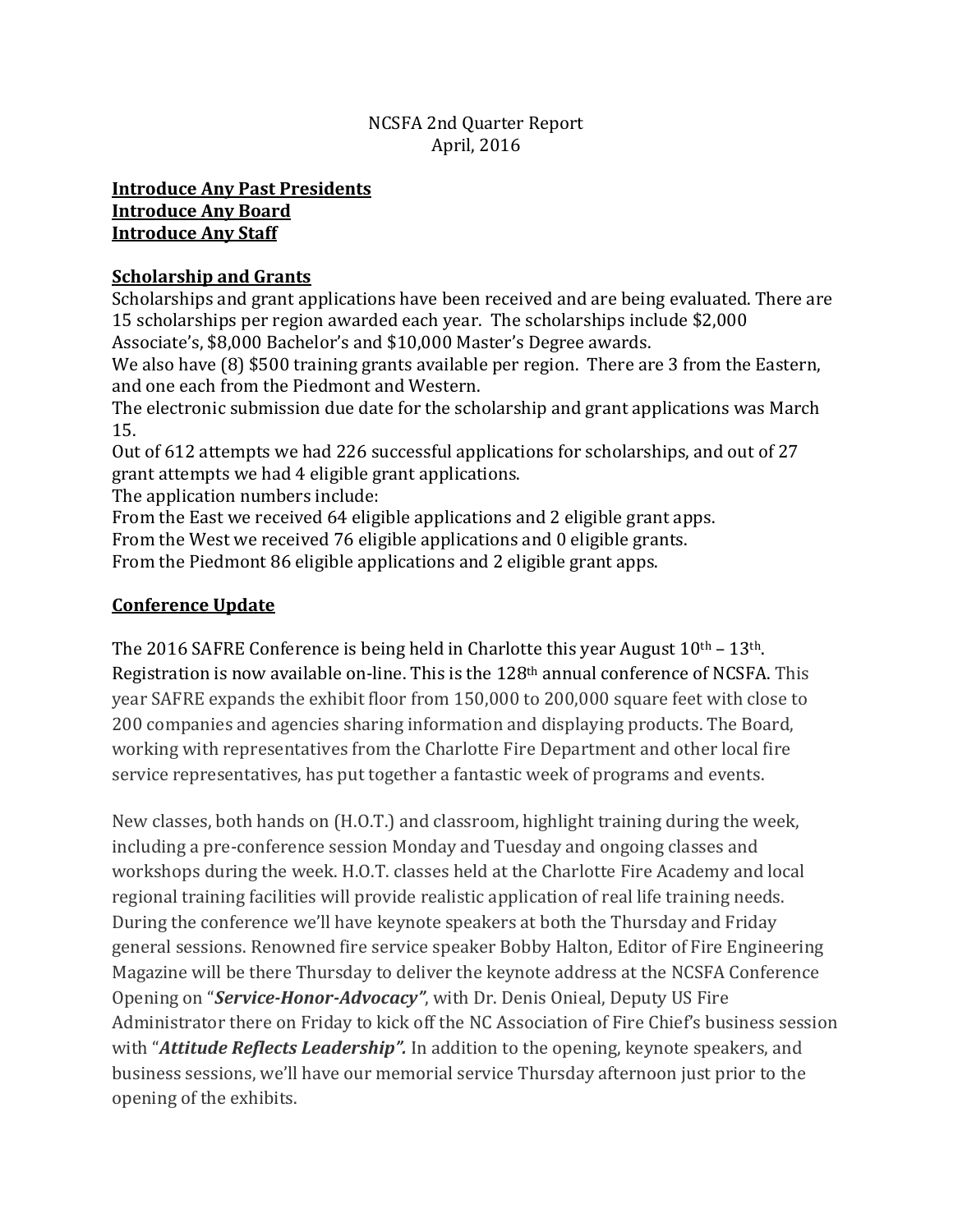### NCSFA 2nd Quarter Report April, 2016

#### **Introduce Any Past Presidents Introduce Any Board Introduce Any Staff**

### **Scholarship and Grants**

Scholarships and grant applications have been received and are being evaluated. There are 15 scholarships per region awarded each year. The scholarships include \$2,000 Associate's, \$8,000 Bachelor's and \$10,000 Master's Degree awards.

We also have (8) \$500 training grants available per region. There are 3 from the Eastern, and one each from the Piedmont and Western.

The electronic submission due date for the scholarship and grant applications was March 15.

Out of 612 attempts we had 226 successful applications for scholarships, and out of 27 grant attempts we had 4 eligible grant applications.

The application numbers include:

From the East we received 64 eligible applications and 2 eligible grant apps.

From the West we received 76 eligible applications and 0 eligible grants.

From the Piedmont 86 eligible applications and 2 eligible grant apps.

## **Conference Update**

The 2016 SAFRE Conference is being held in Charlotte this year August  $10<sup>th</sup> - 13<sup>th</sup>$ . Registration is now available on-line. This is the 128th annual conference of NCSFA. This year SAFRE expands the exhibit floor from 150,000 to 200,000 square feet with close to 200 companies and agencies sharing information and displaying products. The Board, working with representatives from the Charlotte Fire Department and other local fire service representatives, has put together a fantastic week of programs and events.

New classes, both hands on (H.O.T.) and classroom, highlight training during the week, including a pre-conference session Monday and Tuesday and ongoing classes and workshops during the week. H.O.T. classes held at the Charlotte Fire Academy and local regional training facilities will provide realistic application of real life training needs. During the conference we'll have keynote speakers at both the Thursday and Friday general sessions. Renowned fire service speaker Bobby Halton, Editor of Fire Engineering Magazine will be there Thursday to deliver the keynote address at the NCSFA Conference Opening on "*Service-Honor-Advocacy"*, with Dr. Denis Onieal, Deputy US Fire Administrator there on Friday to kick off the NC Association of Fire Chief's business session with "*Attitude Reflects Leadership".* In addition to the opening, keynote speakers, and business sessions, we'll have our memorial service Thursday afternoon just prior to the opening of the exhibits.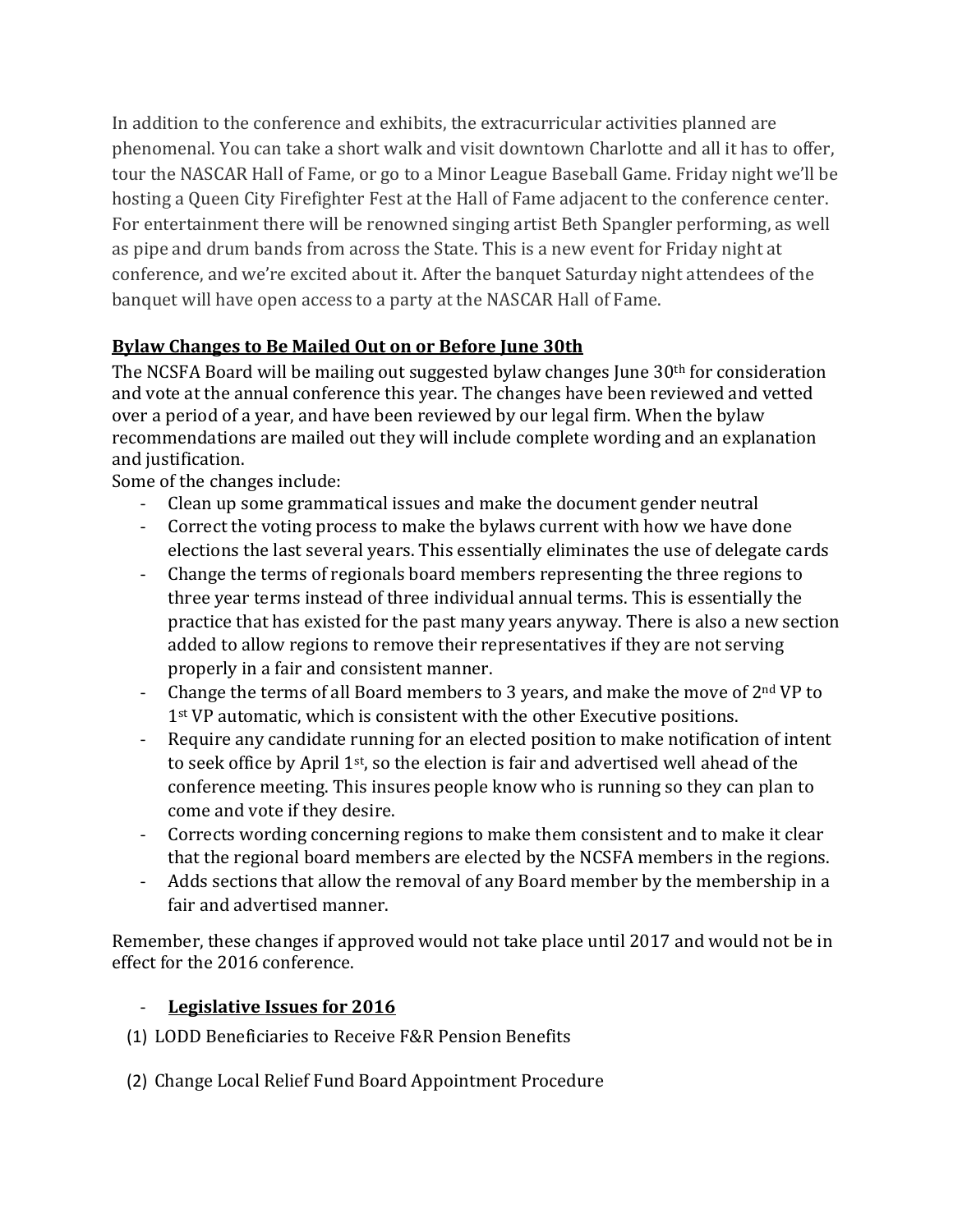In addition to the conference and exhibits, the extracurricular activities planned are phenomenal. You can take a short walk and visit downtown Charlotte and all it has to offer, tour the NASCAR Hall of Fame, or go to a Minor League Baseball Game. Friday night we'll be hosting a Queen City Firefighter Fest at the Hall of Fame adjacent to the conference center. For entertainment there will be renowned singing artist Beth Spangler performing, as well as pipe and drum bands from across the State. This is a new event for Friday night at conference, and we're excited about it. After the banquet Saturday night attendees of the banquet will have open access to a party at the NASCAR Hall of Fame.

# **Bylaw Changes to Be Mailed Out on or Before June 30th**

The NCSFA Board will be mailing out suggested bylaw changes June 30th for consideration and vote at the annual conference this year. The changes have been reviewed and vetted over a period of a year, and have been reviewed by our legal firm. When the bylaw recommendations are mailed out they will include complete wording and an explanation and justification.

Some of the changes include:

- Clean up some grammatical issues and make the document gender neutral
- Correct the voting process to make the bylaws current with how we have done elections the last several years. This essentially eliminates the use of delegate cards
- Change the terms of regionals board members representing the three regions to three year terms instead of three individual annual terms. This is essentially the practice that has existed for the past many years anyway. There is also a new section added to allow regions to remove their representatives if they are not serving properly in a fair and consistent manner.
- Change the terms of all Board members to 3 years, and make the move of  $2<sup>nd</sup> VP$  to 1<sup>st</sup> VP automatic, which is consistent with the other Executive positions.
- Require any candidate running for an elected position to make notification of intent to seek office by April 1st, so the election is fair and advertised well ahead of the conference meeting. This insures people know who is running so they can plan to come and vote if they desire.
- Corrects wording concerning regions to make them consistent and to make it clear that the regional board members are elected by the NCSFA members in the regions.
- Adds sections that allow the removal of any Board member by the membership in a fair and advertised manner.

Remember, these changes if approved would not take place until 2017 and would not be in effect for the 2016 conference.

# - **Legislative Issues for 2016**

- (1) LODD Beneficiaries to Receive F&R Pension Benefits
- (2) Change Local Relief Fund Board Appointment Procedure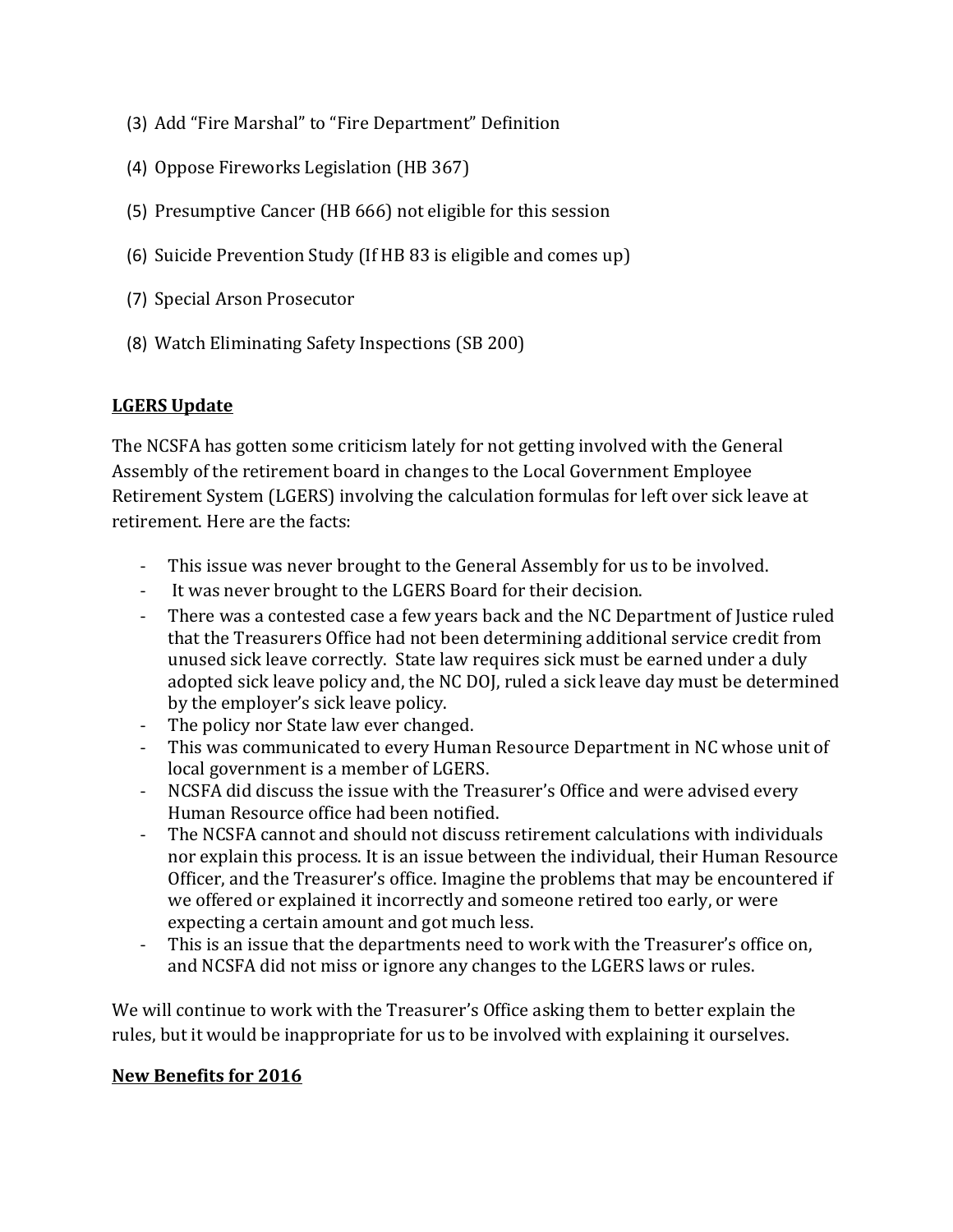- (3) Add "Fire Marshal" to "Fire Department" Definition
- (4) Oppose Fireworks Legislation (HB 367)
- (5) Presumptive Cancer (HB 666) not eligible for this session
- (6) Suicide Prevention Study (If HB 83 is eligible and comes up)
- (7) Special Arson Prosecutor
- (8) Watch Eliminating Safety Inspections (SB 200)

### **LGERS Update**

The NCSFA has gotten some criticism lately for not getting involved with the General Assembly of the retirement board in changes to the Local Government Employee Retirement System (LGERS) involving the calculation formulas for left over sick leave at retirement. Here are the facts:

- This issue was never brought to the General Assembly for us to be involved.
- It was never brought to the LGERS Board for their decision.
- There was a contested case a few years back and the NC Department of Justice ruled that the Treasurers Office had not been determining additional service credit from unused sick leave correctly. State law requires sick must be earned under a duly adopted sick leave policy and, the NC DOJ, ruled a sick leave day must be determined by the employer's sick leave policy.
- The policy nor State law ever changed.
- This was communicated to every Human Resource Department in NC whose unit of local government is a member of LGERS.
- NCSFA did discuss the issue with the Treasurer's Office and were advised every Human Resource office had been notified.
- The NCSFA cannot and should not discuss retirement calculations with individuals nor explain this process. It is an issue between the individual, their Human Resource Officer, and the Treasurer's office. Imagine the problems that may be encountered if we offered or explained it incorrectly and someone retired too early, or were expecting a certain amount and got much less.
- This is an issue that the departments need to work with the Treasurer's office on, and NCSFA did not miss or ignore any changes to the LGERS laws or rules.

We will continue to work with the Treasurer's Office asking them to better explain the rules, but it would be inappropriate for us to be involved with explaining it ourselves.

### **New Benefits for 2016**